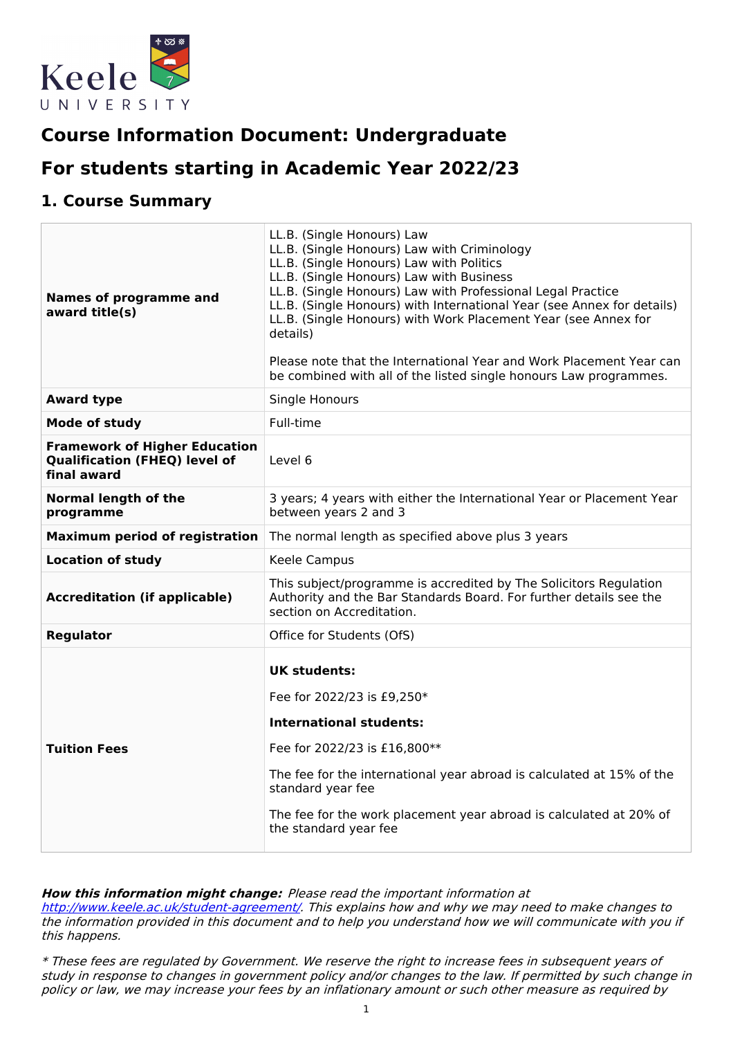

# **Course Information Document: Undergraduate**

# **For students starting in Academic Year 2022/23**

## **1. Course Summary**

| <b>Names of programme and</b><br>award title(s)                                             | LL.B. (Single Honours) Law<br>LL.B. (Single Honours) Law with Criminology<br>LL.B. (Single Honours) Law with Politics<br>LL.B. (Single Honours) Law with Business<br>LL.B. (Single Honours) Law with Professional Legal Practice<br>LL.B. (Single Honours) with International Year (see Annex for details)<br>LL.B. (Single Honours) with Work Placement Year (see Annex for<br>details)<br>Please note that the International Year and Work Placement Year can<br>be combined with all of the listed single honours Law programmes. |  |
|---------------------------------------------------------------------------------------------|--------------------------------------------------------------------------------------------------------------------------------------------------------------------------------------------------------------------------------------------------------------------------------------------------------------------------------------------------------------------------------------------------------------------------------------------------------------------------------------------------------------------------------------|--|
| <b>Award type</b>                                                                           | <b>Single Honours</b>                                                                                                                                                                                                                                                                                                                                                                                                                                                                                                                |  |
| <b>Mode of study</b>                                                                        | Full-time                                                                                                                                                                                                                                                                                                                                                                                                                                                                                                                            |  |
| <b>Framework of Higher Education</b><br><b>Qualification (FHEQ) level of</b><br>final award | Level 6                                                                                                                                                                                                                                                                                                                                                                                                                                                                                                                              |  |
| <b>Normal length of the</b><br>programme                                                    | 3 years; 4 years with either the International Year or Placement Year<br>between years 2 and 3                                                                                                                                                                                                                                                                                                                                                                                                                                       |  |
| <b>Maximum period of registration</b>                                                       | The normal length as specified above plus 3 years                                                                                                                                                                                                                                                                                                                                                                                                                                                                                    |  |
| <b>Location of study</b>                                                                    | Keele Campus                                                                                                                                                                                                                                                                                                                                                                                                                                                                                                                         |  |
| <b>Accreditation (if applicable)</b>                                                        | This subject/programme is accredited by The Solicitors Regulation<br>Authority and the Bar Standards Board. For further details see the<br>section on Accreditation.                                                                                                                                                                                                                                                                                                                                                                 |  |
| <b>Regulator</b>                                                                            | Office for Students (OfS)                                                                                                                                                                                                                                                                                                                                                                                                                                                                                                            |  |
| <b>Tuition Fees</b>                                                                         | <b>UK students:</b><br>Fee for 2022/23 is £9,250*<br>International students:<br>Fee for 2022/23 is £16,800**<br>The fee for the international year abroad is calculated at 15% of the<br>standard year fee<br>The fee for the work placement year abroad is calculated at 20% of<br>the standard year fee                                                                                                                                                                                                                            |  |

#### **How this information might change:** Please read the important information at

<http://www.keele.ac.uk/student-agreement/>. This explains how and why we may need to make changes to the information provided in this document and to help you understand how we will communicate with you if this happens.

\* These fees are regulated by Government. We reserve the right to increase fees in subsequent years of study in response to changes in government policy and/or changes to the law. If permitted by such change in policy or law, we may increase your fees by an inflationary amount or such other measure as required by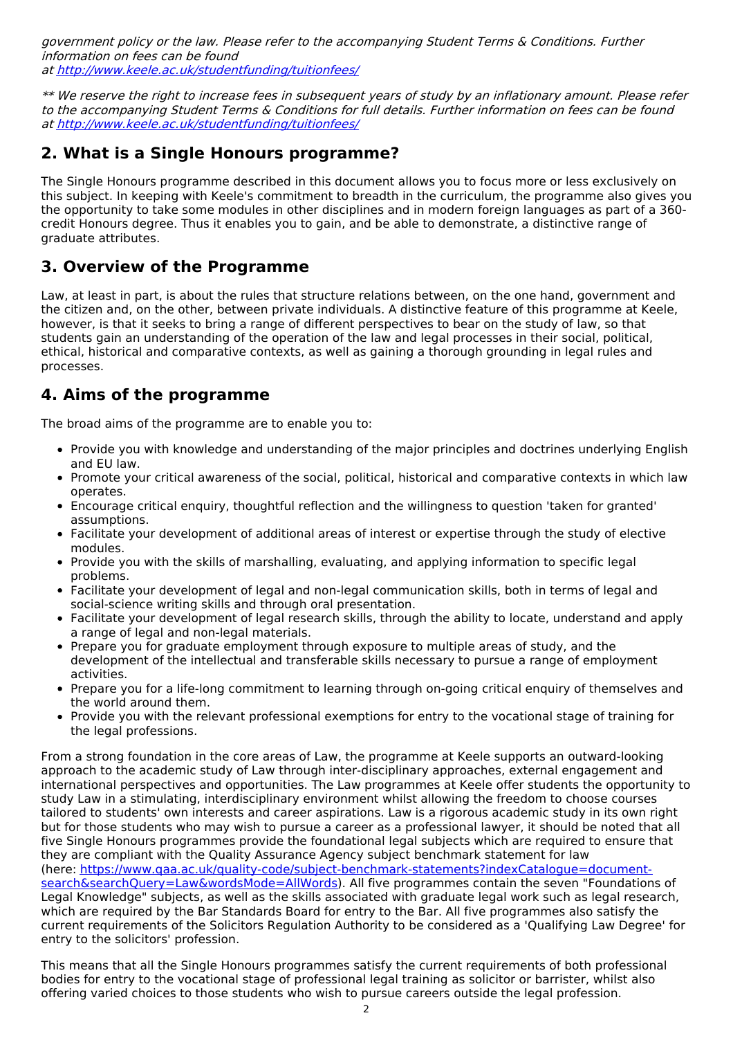government policy or the law. Please refer to the accompanying Student Terms & Conditions. Further information on fees can be found at <http://www.keele.ac.uk/studentfunding/tuitionfees/>

\*\* We reserve the right to increase fees in subsequent years of study by an inflationary amount. Please refer to the accompanying Student Terms & Conditions for full details. Further information on fees can be found at <http://www.keele.ac.uk/studentfunding/tuitionfees/>

# **2. What is a Single Honours programme?**

The Single Honours programme described in this document allows you to focus more or less exclusively on this subject. In keeping with Keele's commitment to breadth in the curriculum, the programme also gives you the opportunity to take some modules in other disciplines and in modern foreign languages as part of a 360 credit Honours degree. Thus it enables you to gain, and be able to demonstrate, a distinctive range of graduate attributes.

## **3. Overview of the Programme**

Law, at least in part, is about the rules that structure relations between, on the one hand, government and the citizen and, on the other, between private individuals. A distinctive feature of this programme at Keele, however, is that it seeks to bring a range of different perspectives to bear on the study of law, so that students gain an understanding of the operation of the law and legal processes in their social, political, ethical, historical and comparative contexts, as well as gaining a thorough grounding in legal rules and processes.

## **4. Aims of the programme**

The broad aims of the programme are to enable you to:

- Provide you with knowledge and understanding of the major principles and doctrines underlying English and EU law.
- Promote your critical awareness of the social, political, historical and comparative contexts in which law operates.
- Encourage critical enquiry, thoughtful reflection and the willingness to question 'taken for granted' assumptions.
- Facilitate your development of additional areas of interest or expertise through the study of elective modules.
- Provide you with the skills of marshalling, evaluating, and applying information to specific legal problems.
- Facilitate your development of legal and non-legal communication skills, both in terms of legal and social-science writing skills and through oral presentation.
- Facilitate your development of legal research skills, through the ability to locate, understand and apply a range of legal and non-legal materials.
- Prepare you for graduate employment through exposure to multiple areas of study, and the development of the intellectual and transferable skills necessary to pursue a range of employment activities.
- Prepare you for a life-long commitment to learning through on-going critical enquiry of themselves and the world around them.
- Provide you with the relevant professional exemptions for entry to the vocational stage of training for the legal professions.

From a strong foundation in the core areas of Law, the programme at Keele supports an outward-looking approach to the academic study of Law through inter-disciplinary approaches, external engagement and international perspectives and opportunities. The Law programmes at Keele offer students the opportunity to study Law in a stimulating, interdisciplinary environment whilst allowing the freedom to choose courses tailored to students' own interests and career aspirations. Law is a rigorous academic study in its own right but for those students who may wish to pursue a career as a professional lawyer, it should be noted that all five Single Honours programmes provide the foundational legal subjects which are required to ensure that they are compliant with the Quality Assurance Agency subject benchmark statement for law (here: [https://www.qaa.ac.uk/quality-code/subject-benchmark-statements?indexCatalogue=document](https://www.qaa.ac.uk/quality-code/subject-benchmark-statements?indexCatalogue=document-search&searchQuery=Law&wordsMode=AllWords)search&searchQuery=Law&wordsMode=AllWords). All five programmes contain the seven "Foundations of Legal Knowledge" subjects, as well as the skills associated with graduate legal work such as legal research, which are required by the Bar Standards Board for entry to the Bar. All five programmes also satisfy the current requirements of the Solicitors Regulation Authority to be considered as a 'Qualifying Law Degree' for entry to the solicitors' profession.

This means that all the Single Honours programmes satisfy the current requirements of both professional bodies for entry to the vocational stage of professional legal training as solicitor or barrister, whilst also offering varied choices to those students who wish to pursue careers outside the legal profession.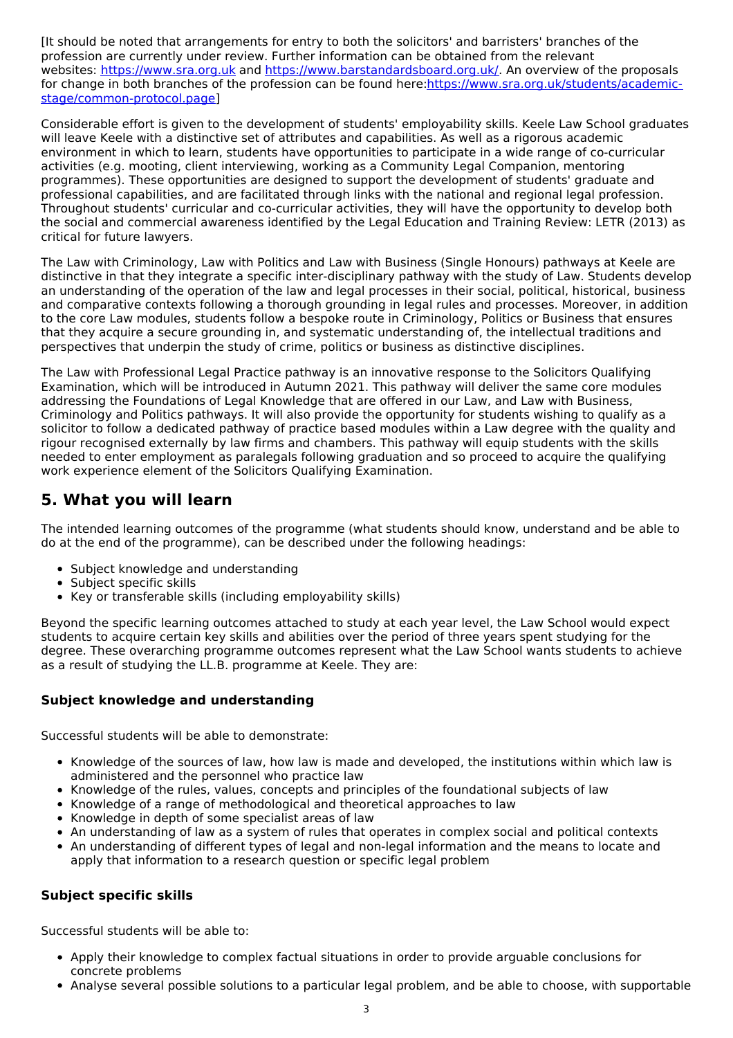[It should be noted that arrangements for entry to both the solicitors' and barristers' branches of the profession are currently under review. Further information can be obtained from the relevant websites: <https://www.sra.org.uk> and <https://www.barstandardsboard.org.uk/>. An overview of the proposals for change in both branches of the profession can be found [here:https://www.sra.org.uk/students/academic](https://www.sra.org.uk/students/academic-stage/common-protocol.page)stage/common-protocol.page]

Considerable effort is given to the development of students' employability skills. Keele Law School graduates will leave Keele with a distinctive set of attributes and capabilities. As well as a rigorous academic environment in which to learn, students have opportunities to participate in a wide range of co-curricular activities (e.g. mooting, client interviewing, working as a Community Legal Companion, mentoring programmes). These opportunities are designed to support the development of students' graduate and professional capabilities, and are facilitated through links with the national and regional legal profession. Throughout students' curricular and co-curricular activities, they will have the opportunity to develop both the social and commercial awareness identified by the Legal Education and Training Review: LETR (2013) as critical for future lawyers.

The Law with Criminology, Law with Politics and Law with Business (Single Honours) pathways at Keele are distinctive in that they integrate a specific inter-disciplinary pathway with the study of Law. Students develop an understanding of the operation of the law and legal processes in their social, political, historical, business and comparative contexts following a thorough grounding in legal rules and processes. Moreover, in addition to the core Law modules, students follow a bespoke route in Criminology, Politics or Business that ensures that they acquire a secure grounding in, and systematic understanding of, the intellectual traditions and perspectives that underpin the study of crime, politics or business as distinctive disciplines.

The Law with Professional Legal Practice pathway is an innovative response to the Solicitors Qualifying Examination, which will be introduced in Autumn 2021. This pathway will deliver the same core modules addressing the Foundations of Legal Knowledge that are offered in our Law, and Law with Business, Criminology and Politics pathways. It will also provide the opportunity for students wishing to qualify as a solicitor to follow a dedicated pathway of practice based modules within a Law degree with the quality and rigour recognised externally by law firms and chambers. This pathway will equip students with the skills needed to enter employment as paralegals following graduation and so proceed to acquire the qualifying work experience element of the Solicitors Qualifying Examination.

# **5. What you will learn**

The intended learning outcomes of the programme (what students should know, understand and be able to do at the end of the programme), can be described under the following headings:

- Subject knowledge and understanding
- Subject specific skills
- Key or transferable skills (including employability skills)

Beyond the specific learning outcomes attached to study at each year level, the Law School would expect students to acquire certain key skills and abilities over the period of three years spent studying for the degree. These overarching programme outcomes represent what the Law School wants students to achieve as a result of studying the LL.B. programme at Keele. They are:

#### **Subject knowledge and understanding**

Successful students will be able to demonstrate:

- Knowledge of the sources of law, how law is made and developed, the institutions within which law is administered and the personnel who practice law
- Knowledge of the rules, values, concepts and principles of the foundational subjects of law
- Knowledge of a range of methodological and theoretical approaches to law
- Knowledge in depth of some specialist areas of law
- An understanding of law as a system of rules that operates in complex social and political contexts
- An understanding of different types of legal and non-legal information and the means to locate and apply that information to a research question or specific legal problem

#### **Subject specific skills**

Successful students will be able to:

- Apply their knowledge to complex factual situations in order to provide arguable conclusions for concrete problems
- Analyse several possible solutions to a particular legal problem, and be able to choose, with supportable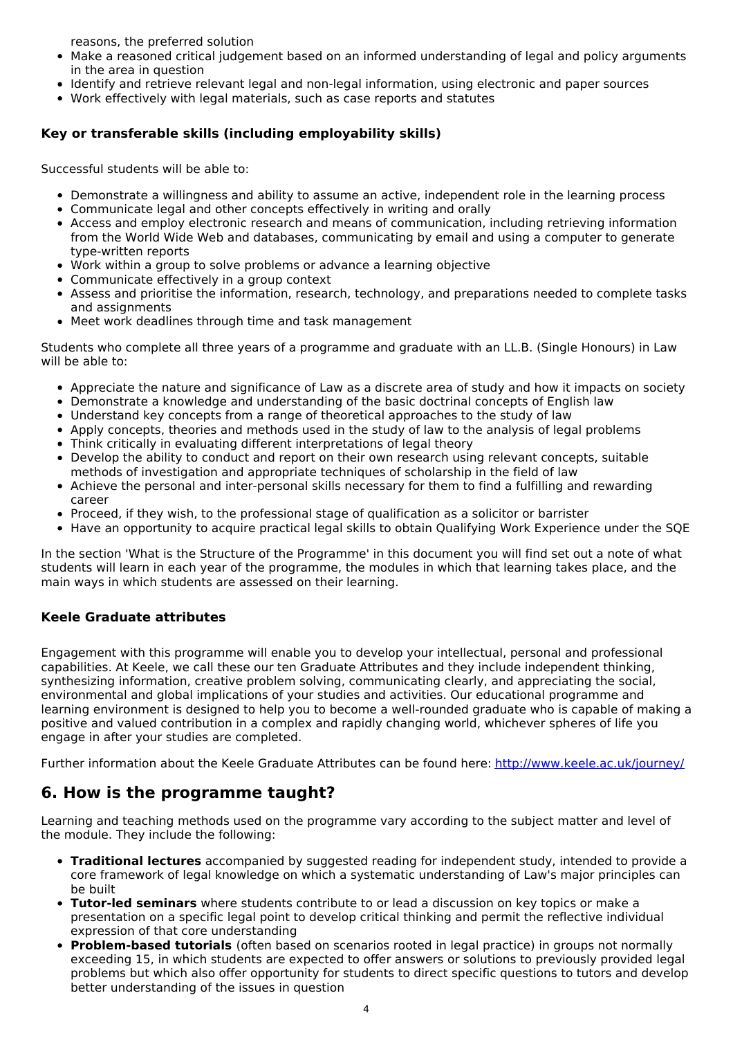reasons, the preferred solution

- Make a reasoned critical judgement based on an informed understanding of legal and policy arguments in the area in question
- Identify and retrieve relevant legal and non-legal information, using electronic and paper sources
- Work effectively with legal materials, such as case reports and statutes

#### **Key or transferable skills (including employability skills)**

Successful students will be able to:

- Demonstrate a willingness and ability to assume an active, independent role in the learning process
- Communicate legal and other concepts effectively in writing and orally
- Access and employ electronic research and means of communication, including retrieving information from the World Wide Web and databases, communicating by email and using a computer to generate type-written reports
- Work within a group to solve problems or advance a learning objective
- Communicate effectively in a group context
- Assess and prioritise the information, research, technology, and preparations needed to complete tasks and assignments
- Meet work deadlines through time and task management

Students who complete all three years of a programme and graduate with an LL.B. (Single Honours) in Law will be able to:

- Appreciate the nature and significance of Law as a discrete area of study and how it impacts on society
- Demonstrate a knowledge and understanding of the basic doctrinal concepts of English law
- Understand key concepts from a range of theoretical approaches to the study of law
- Apply concepts, theories and methods used in the study of law to the analysis of legal problems
- Think critically in evaluating different interpretations of legal theory
- Develop the ability to conduct and report on their own research using relevant concepts, suitable methods of investigation and appropriate techniques of scholarship in the field of law
- Achieve the personal and inter-personal skills necessary for them to find a fulfilling and rewarding career
- Proceed, if they wish, to the professional stage of qualification as a solicitor or barrister
- Have an opportunity to acquire practical legal skills to obtain Qualifying Work Experience under the SQE

In the section 'What is the Structure of the Programme' in this document you will find set out a note of what students will learn in each year of the programme, the modules in which that learning takes place, and the main ways in which students are assessed on their learning.

#### **Keele Graduate attributes**

Engagement with this programme will enable you to develop your intellectual, personal and professional capabilities. At Keele, we call these our ten Graduate Attributes and they include independent thinking, synthesizing information, creative problem solving, communicating clearly, and appreciating the social, environmental and global implications of your studies and activities. Our educational programme and learning environment is designed to help you to become a well-rounded graduate who is capable of making a positive and valued contribution in a complex and rapidly changing world, whichever spheres of life you engage in after your studies are completed.

Further information about the Keele Graduate Attributes can be found here: <http://www.keele.ac.uk/journey/>

## **6. How is the programme taught?**

Learning and teaching methods used on the programme vary according to the subject matter and level of the module. They include the following:

- **Traditional lectures** accompanied by suggested reading for independent study, intended to provide a core framework of legal knowledge on which a systematic understanding of Law's major principles can be built
- **Tutor-led seminars** where students contribute to or lead a discussion on key topics or make a presentation on a specific legal point to develop critical thinking and permit the reflective individual expression of that core understanding
- **Problem-based tutorials** (often based on scenarios rooted in legal practice) in groups not normally exceeding 15, in which students are expected to offer answers or solutions to previously provided legal problems but which also offer opportunity for students to direct specific questions to tutors and develop better understanding of the issues in question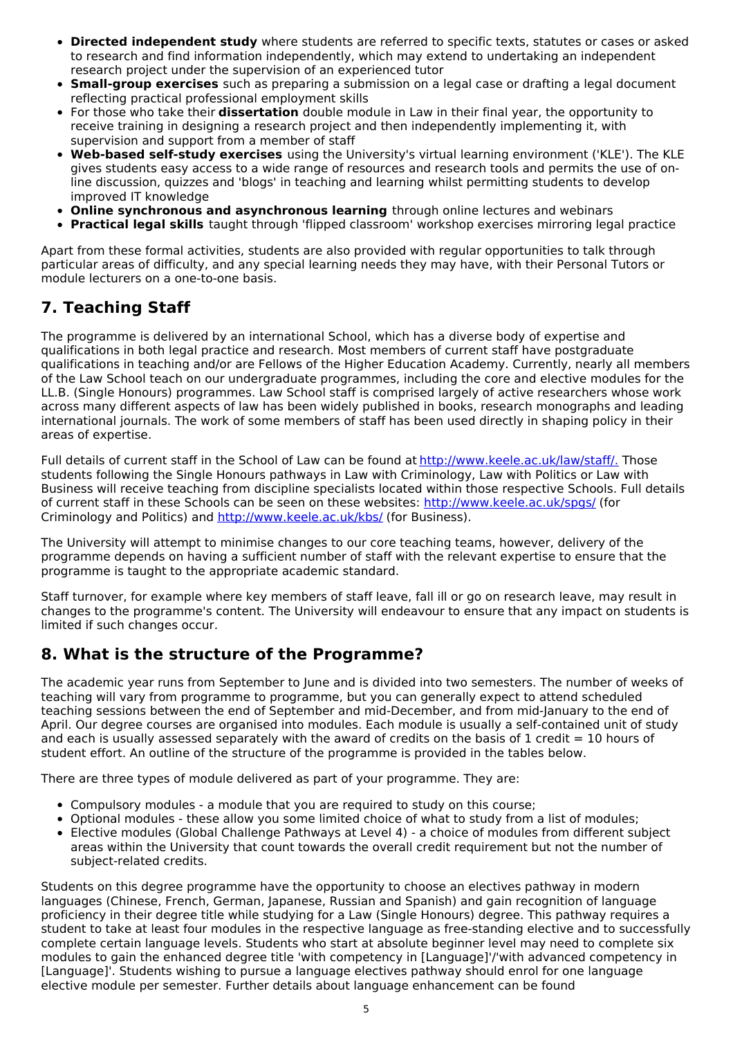- **Directed independent study** where students are referred to specific texts, statutes or cases or asked to research and find information independently, which may extend to undertaking an independent research project under the supervision of an experienced tutor
- **Small-group exercises** such as preparing a submission on a legal case or drafting a legal document reflecting practical professional employment skills
- For those who take their **dissertation** double module in Law in their final year, the opportunity to receive training in designing a research project and then independently implementing it, with supervision and support from a member of staff
- **Web-based self-study exercises** using the University's virtual learning environment ('KLE'). The KLE gives students easy access to a wide range of resources and research tools and permits the use of online discussion, quizzes and 'blogs' in teaching and learning whilst permitting students to develop improved IT knowledge
- **Online synchronous and asynchronous learning** through online lectures and webinars
- **Practical legal skills** taught through 'flipped classroom' workshop exercises mirroring legal practice

Apart from these formal activities, students are also provided with regular opportunities to talk through particular areas of difficulty, and any special learning needs they may have, with their Personal Tutors or module lecturers on a one-to-one basis.

## **7. Teaching Staff**

The programme is delivered by an international School, which has a diverse body of expertise and qualifications in both legal practice and research. Most members of current staff have postgraduate qualifications in teaching and/or are Fellows of the Higher Education Academy. Currently, nearly all members of the Law School teach on our undergraduate programmes, including the core and elective modules for the LL.B. (Single Honours) programmes. Law School staff is comprised largely of active researchers whose work across many different aspects of law has been widely published in books, research monographs and leading international journals. The work of some members of staff has been used directly in shaping policy in their areas of expertise.

Full details of current staff in the School of Law can be found at [http://www.keele.ac.uk/law/staff/.](http://www.keele.ac.uk/law/staff/) Those students following the Single Honours pathways in Law with Criminology, Law with Politics or Law with Business will receive teaching from discipline specialists located within those respective Schools. Full details of current staff in these Schools can be seen on these websites: [http://www.keele.ac.uk/spgs/](http://www.keele.ac.uk/criminology) (for Criminology and Politics) and [http://www.keele.ac.uk/kbs/](http://www.keele.ac.uk/kms/) (for Business).

The University will attempt to minimise changes to our core teaching teams, however, delivery of the programme depends on having a sufficient number of staff with the relevant expertise to ensure that the programme is taught to the appropriate academic standard.

Staff turnover, for example where key members of staff leave, fall ill or go on research leave, may result in changes to the programme's content. The University will endeavour to ensure that any impact on students is limited if such changes occur.

## **8. What is the structure of the Programme?**

The academic year runs from September to June and is divided into two semesters. The number of weeks of teaching will vary from programme to programme, but you can generally expect to attend scheduled teaching sessions between the end of September and mid-December, and from mid-January to the end of April. Our degree courses are organised into modules. Each module is usually a self-contained unit of study and each is usually assessed separately with the award of credits on the basis of 1 credit  $= 10$  hours of student effort. An outline of the structure of the programme is provided in the tables below.

There are three types of module delivered as part of your programme. They are:

- Compulsory modules a module that you are required to study on this course;
- Optional modules these allow you some limited choice of what to study from a list of modules;
- Elective modules (Global Challenge Pathways at Level 4) a choice of modules from different subject areas within the University that count towards the overall credit requirement but not the number of subject-related credits.

Students on this degree programme have the opportunity to choose an electives pathway in modern languages (Chinese, French, German, Japanese, Russian and Spanish) and gain recognition of language proficiency in their degree title while studying for a Law (Single Honours) degree. This pathway requires a student to take at least four modules in the respective language as free-standing elective and to successfully complete certain language levels. Students who start at absolute beginner level may need to complete six modules to gain the enhanced degree title 'with competency in [Language]'/'with advanced competency in [Language]'. Students wishing to pursue a language electives pathway should enrol for one language elective module per semester. Further details about language enhancement can be found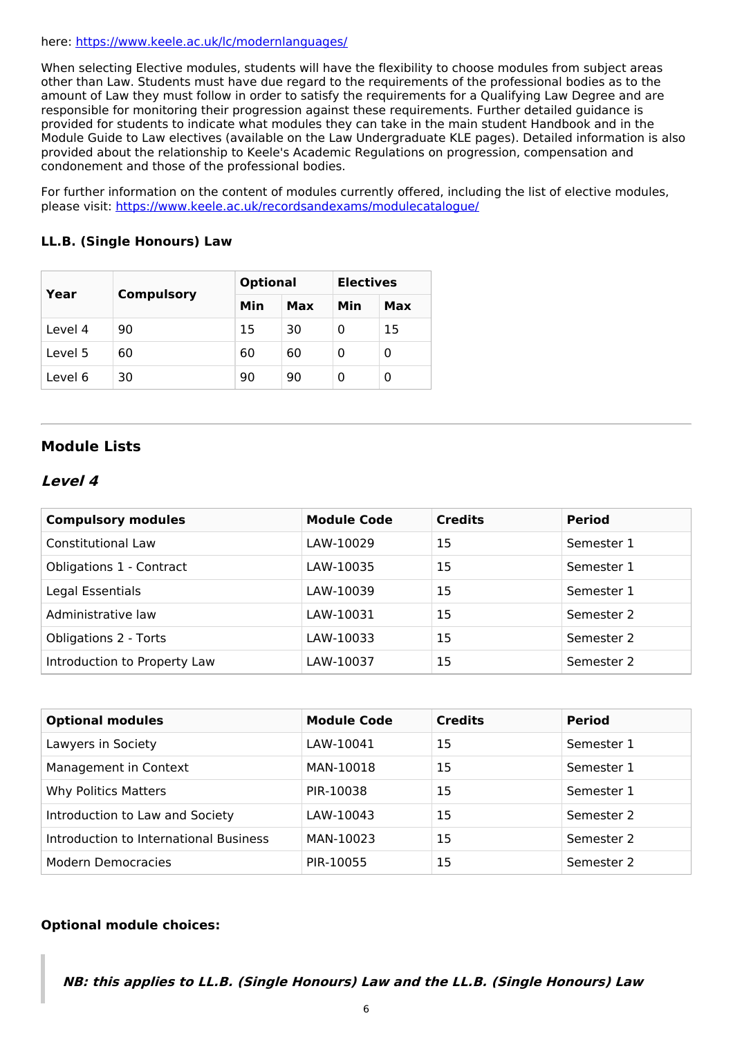#### here: <https://www.keele.ac.uk/lc/modernlanguages/>

When selecting Elective modules, students will have the flexibility to choose modules from subject areas other than Law. Students must have due regard to the requirements of the professional bodies as to the amount of Law they must follow in order to satisfy the requirements for a Qualifying Law Degree and are responsible for monitoring their progression against these requirements. Further detailed guidance is provided for students to indicate what modules they can take in the main student Handbook and in the Module Guide to Law electives (available on the Law Undergraduate KLE pages). Detailed information is also provided about the relationship to Keele's Academic Regulations on progression, compensation and condonement and those of the professional bodies.

For further information on the content of modules currently offered, including the list of elective modules, please visit: <https://www.keele.ac.uk/recordsandexams/modulecatalogue/>

#### **LL.B. (Single Honours) Law**

| Year    |                   | <b>Optional</b> |     | <b>Electives</b> |     |
|---------|-------------------|-----------------|-----|------------------|-----|
|         | <b>Compulsory</b> | Min             | Max | Min              | Max |
| Level 4 | 90                | 15              | 30  | 0                | 15  |
| Level 5 | 60                | 60              | 60  | 0                | 0   |
| Level 6 | 30                | 90              | 90  | Ω                | 0   |

#### **Module Lists**

#### **Level 4**

| <b>Compulsory modules</b>    | <b>Module Code</b> | <b>Credits</b> | <b>Period</b> |
|------------------------------|--------------------|----------------|---------------|
| Constitutional Law           | LAW-10029          | 15             | Semester 1    |
| Obligations 1 - Contract     | LAW-10035          | 15             | Semester 1    |
| Legal Essentials             | LAW-10039          | 15             | Semester 1    |
| Administrative law           | LAW-10031          | 15             | Semester 2    |
| <b>Obligations 2 - Torts</b> | LAW-10033          | 15             | Semester 2    |
| Introduction to Property Law | LAW-10037          | 15             | Semester 2    |

| <b>Optional modules</b>                | <b>Module Code</b> | <b>Credits</b> | <b>Period</b> |
|----------------------------------------|--------------------|----------------|---------------|
| Lawyers in Society                     | LAW-10041          | 15             | Semester 1    |
| Management in Context                  | MAN-10018          | 15             | Semester 1    |
| Why Politics Matters                   | PIR-10038          | 15             | Semester 1    |
| Introduction to Law and Society        | LAW-10043          | 15             | Semester 2    |
| Introduction to International Business | MAN-10023          | 15             | Semester 2    |
| Modern Democracies                     | PIR-10055          | 15             | Semester 2    |

#### **Optional module choices:**

**NB: this applies to LL.B. (Single Honours) Law and the LL.B. (Single Honours) Law**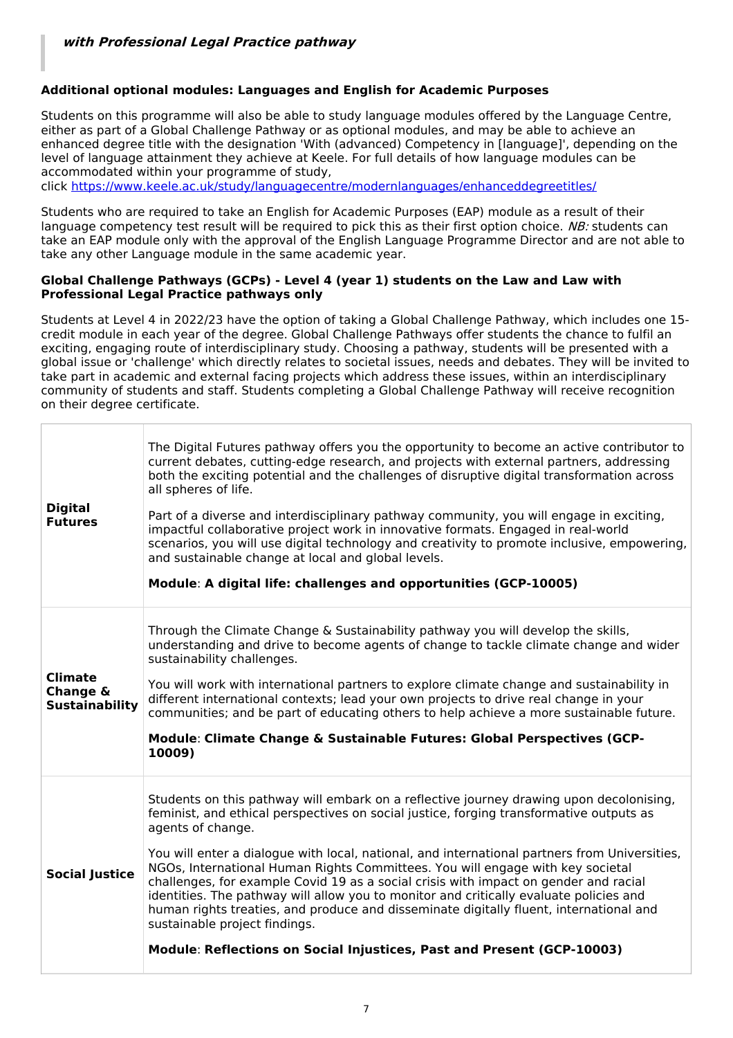#### **Additional optional modules: Languages and English for Academic Purposes**

Students on this programme will also be able to study language modules offered by the Language Centre, either as part of a Global Challenge Pathway or as optional modules, and may be able to achieve an enhanced degree title with the designation 'With (advanced) Competency in [language]', depending on the level of language attainment they achieve at Keele. For full details of how language modules can be accommodated within your programme of study,

click <https://www.keele.ac.uk/study/languagecentre/modernlanguages/enhanceddegreetitles/>

Students who are required to take an English for Academic Purposes (EAP) module as a result of their language competency test result will be required to pick this as their first option choice. NB: students can take an EAP module only with the approval of the English Language Programme Director and are not able to take any other Language module in the same academic year.

#### **Global Challenge Pathways (GCPs) - Level 4 (year 1) students on the Law and Law with Professional Legal Practice pathways only**

Students at Level 4 in 2022/23 have the option of taking a Global Challenge Pathway, which includes one 15 credit module in each year of the degree. Global Challenge Pathways offer students the chance to fulfil an exciting, engaging route of interdisciplinary study. Choosing a pathway, students will be presented with a global issue or 'challenge' which directly relates to societal issues, needs and debates. They will be invited to take part in academic and external facing projects which address these issues, within an interdisciplinary community of students and staff. Students completing a Global Challenge Pathway will receive recognition on their degree certificate.

| <b>Digital</b><br><b>Futures</b>                    | The Digital Futures pathway offers you the opportunity to become an active contributor to<br>current debates, cutting-edge research, and projects with external partners, addressing<br>both the exciting potential and the challenges of disruptive digital transformation across<br>all spheres of life.<br>Part of a diverse and interdisciplinary pathway community, you will engage in exciting,<br>impactful collaborative project work in innovative formats. Engaged in real-world<br>scenarios, you will use digital technology and creativity to promote inclusive, empowering,<br>and sustainable change at local and global levels.<br>Module: A digital life: challenges and opportunities (GCP-10005)                                                               |
|-----------------------------------------------------|-----------------------------------------------------------------------------------------------------------------------------------------------------------------------------------------------------------------------------------------------------------------------------------------------------------------------------------------------------------------------------------------------------------------------------------------------------------------------------------------------------------------------------------------------------------------------------------------------------------------------------------------------------------------------------------------------------------------------------------------------------------------------------------|
| <b>Climate</b><br>Change &<br><b>Sustainability</b> | Through the Climate Change & Sustainability pathway you will develop the skills,<br>understanding and drive to become agents of change to tackle climate change and wider<br>sustainability challenges.<br>You will work with international partners to explore climate change and sustainability in<br>different international contexts; lead your own projects to drive real change in your<br>communities; and be part of educating others to help achieve a more sustainable future.<br>Module: Climate Change & Sustainable Futures: Global Perspectives (GCP-<br>10009)                                                                                                                                                                                                     |
| <b>Social Justice</b>                               | Students on this pathway will embark on a reflective journey drawing upon decolonising,<br>feminist, and ethical perspectives on social justice, forging transformative outputs as<br>agents of change.<br>You will enter a dialogue with local, national, and international partners from Universities,<br>NGOs, International Human Rights Committees. You will engage with key societal<br>challenges, for example Covid 19 as a social crisis with impact on gender and racial<br>identities. The pathway will allow you to monitor and critically evaluate policies and<br>human rights treaties, and produce and disseminate digitally fluent, international and<br>sustainable project findings.<br>Module: Reflections on Social Injustices, Past and Present (GCP-10003) |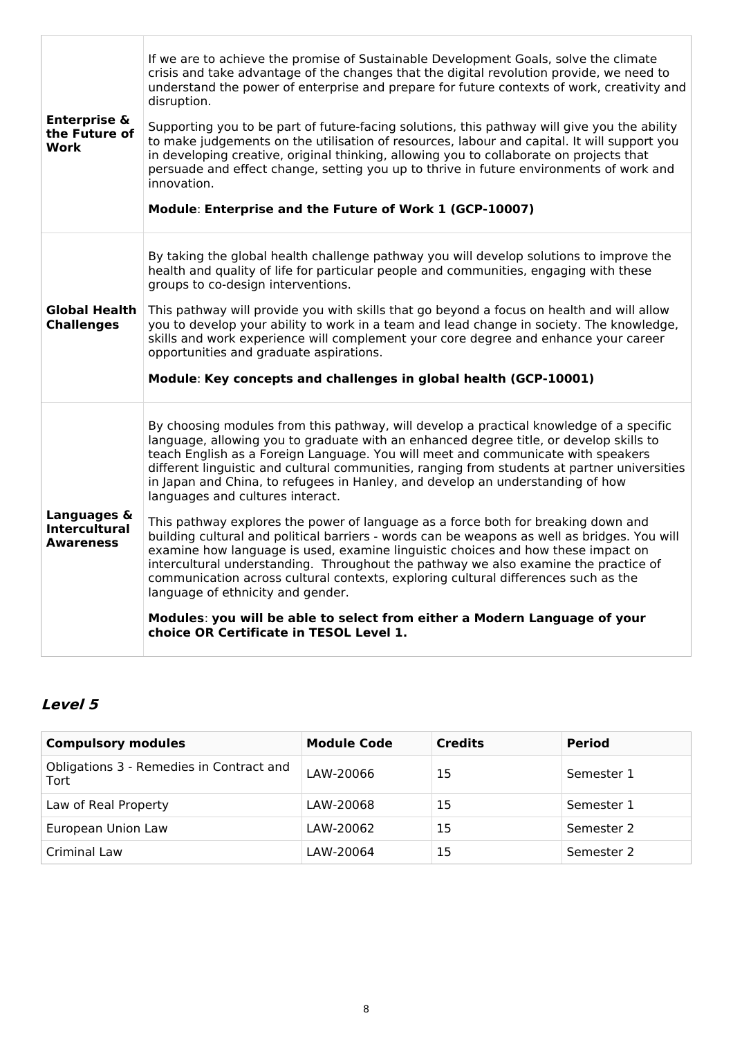| <b>Enterprise &amp;</b><br>the Future of<br>Work        | If we are to achieve the promise of Sustainable Development Goals, solve the climate<br>crisis and take advantage of the changes that the digital revolution provide, we need to<br>understand the power of enterprise and prepare for future contexts of work, creativity and<br>disruption.<br>Supporting you to be part of future-facing solutions, this pathway will give you the ability<br>to make judgements on the utilisation of resources, labour and capital. It will support you<br>in developing creative, original thinking, allowing you to collaborate on projects that<br>persuade and effect change, setting you up to thrive in future environments of work and<br>innovation.<br>Module: Enterprise and the Future of Work 1 (GCP-10007)                                                                                                                                                                                                                                                                                                                                                   |
|---------------------------------------------------------|----------------------------------------------------------------------------------------------------------------------------------------------------------------------------------------------------------------------------------------------------------------------------------------------------------------------------------------------------------------------------------------------------------------------------------------------------------------------------------------------------------------------------------------------------------------------------------------------------------------------------------------------------------------------------------------------------------------------------------------------------------------------------------------------------------------------------------------------------------------------------------------------------------------------------------------------------------------------------------------------------------------------------------------------------------------------------------------------------------------|
| Global Health<br><b>Challenges</b>                      | By taking the global health challenge pathway you will develop solutions to improve the<br>health and quality of life for particular people and communities, engaging with these<br>groups to co-design interventions.<br>This pathway will provide you with skills that go beyond a focus on health and will allow<br>you to develop your ability to work in a team and lead change in society. The knowledge,<br>skills and work experience will complement your core degree and enhance your career<br>opportunities and graduate aspirations.<br>Module: Key concepts and challenges in global health (GCP-10001)                                                                                                                                                                                                                                                                                                                                                                                                                                                                                          |
| Languages &<br><b>Intercultural</b><br><b>Awareness</b> | By choosing modules from this pathway, will develop a practical knowledge of a specific<br>language, allowing you to graduate with an enhanced degree title, or develop skills to<br>teach English as a Foreign Language. You will meet and communicate with speakers<br>different linguistic and cultural communities, ranging from students at partner universities<br>in Japan and China, to refugees in Hanley, and develop an understanding of how<br>languages and cultures interact.<br>This pathway explores the power of language as a force both for breaking down and<br>building cultural and political barriers - words can be weapons as well as bridges. You will<br>examine how language is used, examine linguistic choices and how these impact on<br>intercultural understanding. Throughout the pathway we also examine the practice of<br>communication across cultural contexts, exploring cultural differences such as the<br>language of ethnicity and gender.<br>Modules: you will be able to select from either a Modern Language of your<br>choice OR Certificate in TESOL Level 1. |

## **Level 5**

| <b>Compulsory modules</b>                        | <b>Module Code</b> | <b>Credits</b> | <b>Period</b> |
|--------------------------------------------------|--------------------|----------------|---------------|
| Obligations 3 - Remedies in Contract and<br>Tort | LAW-20066          | 15             | Semester 1    |
| Law of Real Property                             | LAW-20068          | 15             | Semester 1    |
| European Union Law                               | LAW-20062          | 15             | Semester 2    |
| Criminal Law                                     | LAW-20064          | 15             | Semester 2    |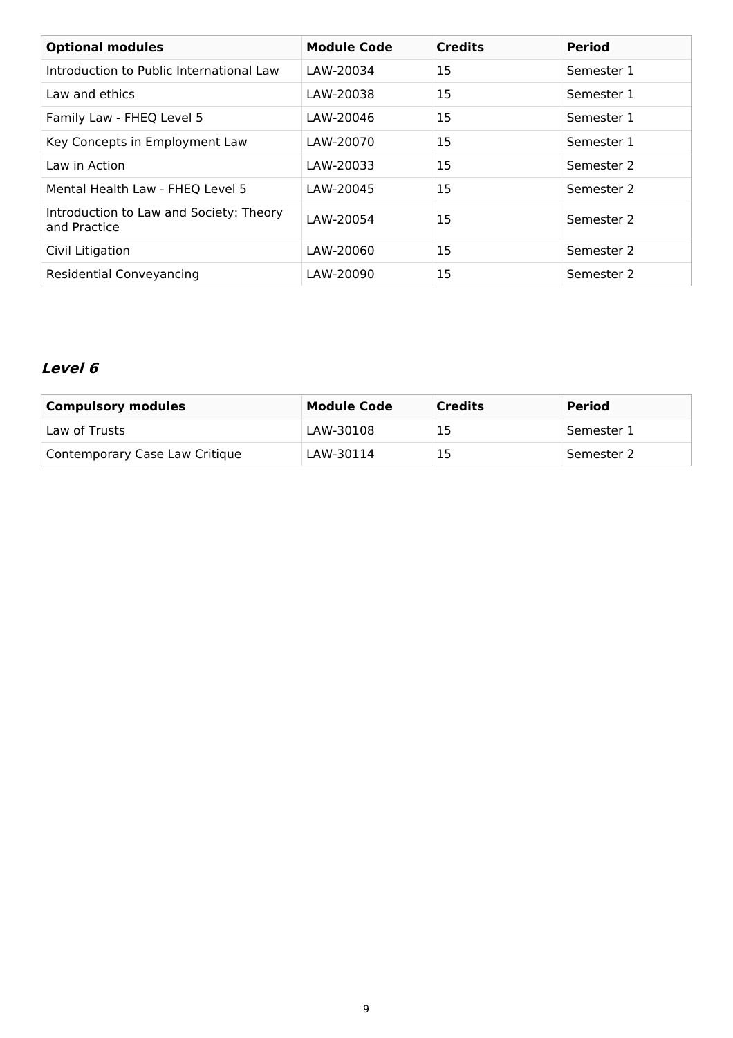| <b>Optional modules</b>                                 | <b>Module Code</b> | <b>Credits</b> | <b>Period</b> |
|---------------------------------------------------------|--------------------|----------------|---------------|
| Introduction to Public International Law                | LAW-20034          | 15             | Semester 1    |
| Law and ethics                                          | LAW-20038          | 15             | Semester 1    |
| Family Law - FHEQ Level 5                               | LAW-20046          | 15             | Semester 1    |
| Key Concepts in Employment Law                          | LAW-20070          | 15             | Semester 1    |
| Law in Action                                           | LAW-20033          | 15             | Semester 2    |
| Mental Health Law - FHEQ Level 5                        | LAW-20045          | 15             | Semester 2    |
| Introduction to Law and Society: Theory<br>and Practice | LAW-20054          | 15             | Semester 2    |
| Civil Litigation                                        | LAW-20060          | 15             | Semester 2    |
| Residential Conveyancing                                | LAW-20090          | 15             | Semester 2    |

## **Level 6**

| <b>Compulsory modules</b>      | <b>Module Code</b> | <b>Credits</b> | <b>Period</b> |
|--------------------------------|--------------------|----------------|---------------|
| Law of Trusts                  | LAW-30108          | 15             | Semester 1    |
| Contemporary Case Law Critique | LAW-30114          | 15             | Semester 2    |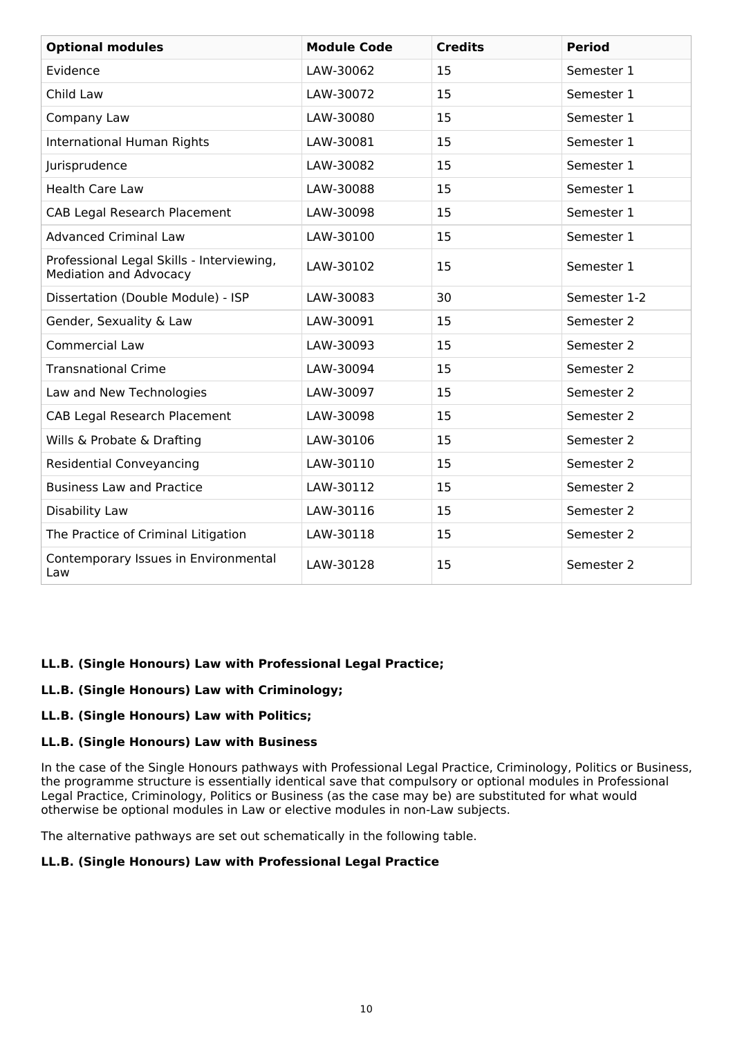| <b>Optional modules</b>                                                    | <b>Module Code</b> | <b>Credits</b> | <b>Period</b> |
|----------------------------------------------------------------------------|--------------------|----------------|---------------|
| Evidence                                                                   | LAW-30062          | 15             | Semester 1    |
| Child Law                                                                  | LAW-30072          | 15             | Semester 1    |
| Company Law                                                                | LAW-30080          | 15             | Semester 1    |
| <b>International Human Rights</b>                                          | LAW-30081          | 15             | Semester 1    |
| Jurisprudence                                                              | LAW-30082          | 15             | Semester 1    |
| <b>Health Care Law</b>                                                     | LAW-30088          | 15             | Semester 1    |
| <b>CAB Legal Research Placement</b>                                        | LAW-30098          | 15             | Semester 1    |
| <b>Advanced Criminal Law</b>                                               | LAW-30100          | 15             | Semester 1    |
| Professional Legal Skills - Interviewing,<br><b>Mediation and Advocacy</b> | LAW-30102          | 15             | Semester 1    |
| Dissertation (Double Module) - ISP                                         | LAW-30083          | 30             | Semester 1-2  |
| Gender, Sexuality & Law                                                    | LAW-30091          | 15             | Semester 2    |
| <b>Commercial Law</b>                                                      | LAW-30093          | 15             | Semester 2    |
| <b>Transnational Crime</b>                                                 | LAW-30094          | 15             | Semester 2    |
| Law and New Technologies                                                   | LAW-30097          | 15             | Semester 2    |
| <b>CAB Legal Research Placement</b>                                        | LAW-30098          | 15             | Semester 2    |
| Wills & Probate & Drafting                                                 | LAW-30106          | 15             | Semester 2    |
| <b>Residential Conveyancing</b>                                            | LAW-30110          | 15             | Semester 2    |
| <b>Business Law and Practice</b>                                           | LAW-30112          | 15             | Semester 2    |
| Disability Law                                                             | LAW-30116          | 15             | Semester 2    |
| The Practice of Criminal Litigation                                        | LAW-30118          | 15             | Semester 2    |
| Contemporary Issues in Environmental<br>Law                                | LAW-30128          | 15             | Semester 2    |

#### **LL.B. (Single Honours) Law with Professional Legal Practice;**

#### **LL.B. (Single Honours) Law with Criminology;**

#### **LL.B. (Single Honours) Law with Politics;**

#### **LL.B. (Single Honours) Law with Business**

In the case of the Single Honours pathways with Professional Legal Practice, Criminology, Politics or Business, the programme structure is essentially identical save that compulsory or optional modules in Professional Legal Practice, Criminology, Politics or Business (as the case may be) are substituted for what would otherwise be optional modules in Law or elective modules in non-Law subjects.

The alternative pathways are set out schematically in the following table.

#### **LL.B. (Single Honours) Law with Professional Legal Practice**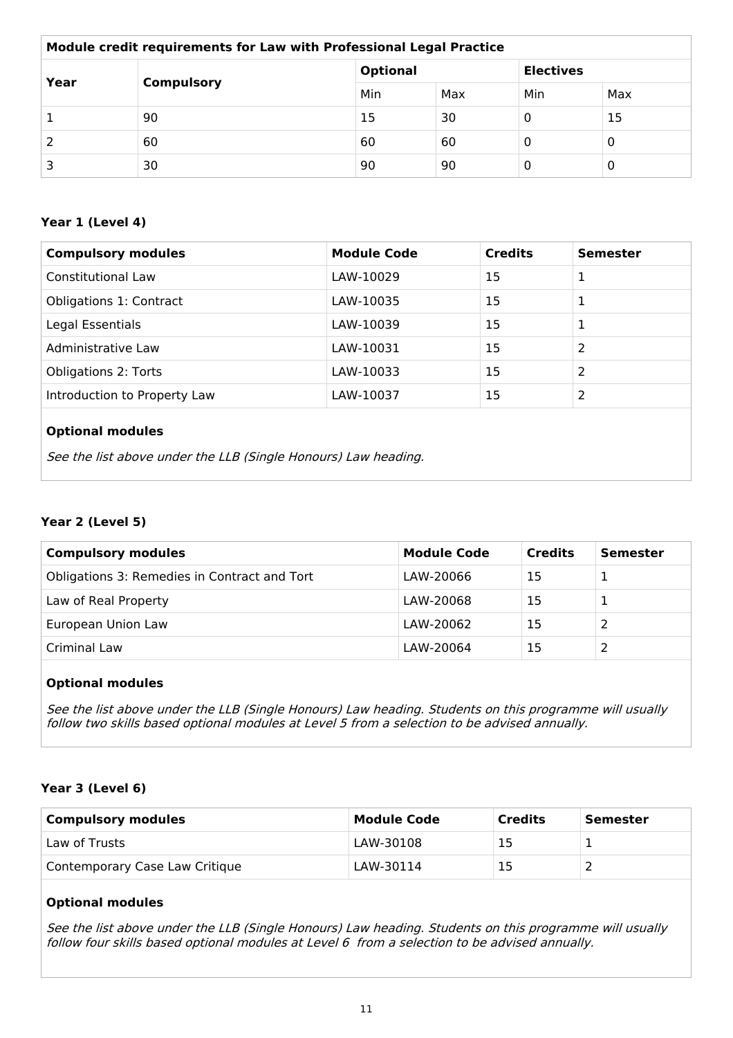| Module credit requirements for Law with Professional Legal Practice |                   |     |                 |     |                  |  |
|---------------------------------------------------------------------|-------------------|-----|-----------------|-----|------------------|--|
| Year                                                                |                   |     | <b>Optional</b> |     | <b>Electives</b> |  |
|                                                                     | <b>Compulsory</b> | Min | Max             | Min | Max              |  |
|                                                                     | 90                | 15  | 30              | 0   | 15               |  |
|                                                                     | 60                | 60  | 60              | 0   | 0                |  |
|                                                                     | 30                | 90  | 90              | 0   | 0                |  |

### **Year 1 (Level 4)**

| <b>Compulsory modules</b>      | <b>Module Code</b> | <b>Credits</b> | <b>Semester</b> |
|--------------------------------|--------------------|----------------|-----------------|
| <b>Constitutional Law</b>      | LAW-10029          | 15             | 1               |
| <b>Obligations 1: Contract</b> | LAW-10035          | 15             | 1               |
| Legal Essentials               | LAW-10039          | 15             |                 |
| Administrative Law             | LAW-10031          | 15             | 2               |
| <b>Obligations 2: Torts</b>    | LAW-10033          | 15             | 2               |
| Introduction to Property Law   | LAW-10037          | 15             | 2               |
| <b>Optional modules</b>        |                    |                |                 |

See the list above under the LLB (Single Honours) Law heading.

## **Year 2 (Level 5)**

| <b>Compulsory modules</b>                    | <b>Module Code</b> | <b>Credits</b> | Semester |
|----------------------------------------------|--------------------|----------------|----------|
| Obligations 3: Remedies in Contract and Tort | LAW-20066          | 15             |          |
| Law of Real Property                         | LAW-20068          | 15             |          |
| European Union Law                           | LAW-20062          | 15             |          |
| Criminal Law                                 | LAW-20064          | 15             |          |

## **Optional modules**

See the list above under the LLB (Single Honours) Law heading. Students on this programme will usually follow two skills based optional modules at Level 5 from <sup>a</sup> selection to be advised annually.

#### **Year 3 (Level 6)**

| <b>Compulsory modules</b>      | <b>Module Code</b> | <b>Credits</b> | Semester |
|--------------------------------|--------------------|----------------|----------|
| Law of Trusts                  | LAW-30108          |                |          |
| Contemporary Case Law Critique | LAW-30114          |                |          |

#### **Optional modules**

See the list above under the LLB (Single Honours) Law heading. Students on this programme will usually follow four skills based optional modules at Level 6 from <sup>a</sup> selection to be advised annually.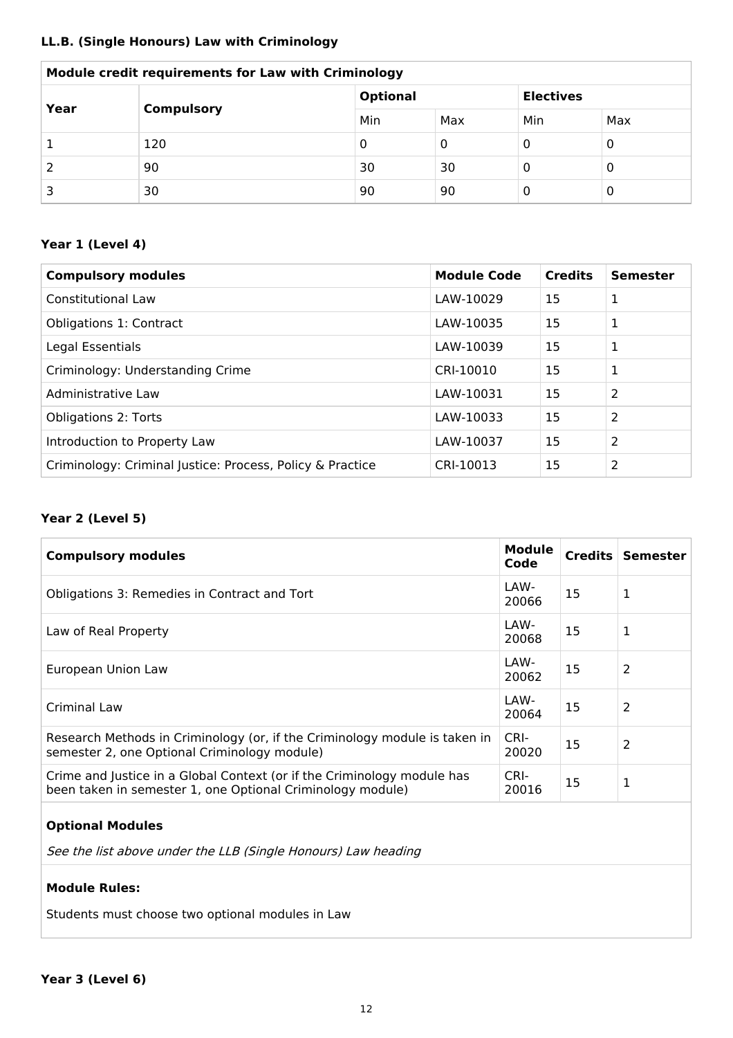#### **LL.B. (Single Honours) Law with Criminology**

| <b>Module credit requirements for Law with Criminology</b> |     |                                     |     |     |     |
|------------------------------------------------------------|-----|-------------------------------------|-----|-----|-----|
| Year<br><b>Compulsory</b>                                  |     | <b>Optional</b><br><b>Electives</b> |     |     |     |
|                                                            |     | Min                                 | Max | Min | Max |
|                                                            | 120 | U                                   | 0   | 0   | 0   |
|                                                            | 90  | 30                                  | 30  | 0   | 0   |
|                                                            | 30  | 90                                  | 90  | 0   | 0   |

#### $\mathbf{r}$ **Module credit requirements for Law with Criminology**

## **Year 1 (Level 4)**

| <b>Compulsory modules</b>                                 | <b>Module Code</b> | <b>Credits</b> | <b>Semester</b> |
|-----------------------------------------------------------|--------------------|----------------|-----------------|
| <b>Constitutional Law</b>                                 | LAW-10029          | 15             | 1               |
| Obligations 1: Contract                                   | LAW-10035          | 15             | 1               |
| Legal Essentials                                          | LAW-10039          | 15             | $\mathbf{1}$    |
| Criminology: Understanding Crime                          | CRI-10010          | 15             | 1               |
| Administrative Law                                        | LAW-10031          | 15             | 2               |
| <b>Obligations 2: Torts</b>                               | LAW-10033          | 15             | 2               |
| Introduction to Property Law                              | LAW-10037          | 15             | 2               |
| Criminology: Criminal Justice: Process, Policy & Practice | CRI-10013          | 15             | 2               |

#### **Year 2 (Level 5)**

| <b>Compulsory modules</b>                                                                                                             | <b>Module</b><br>Code |    | Credits Semester |
|---------------------------------------------------------------------------------------------------------------------------------------|-----------------------|----|------------------|
| Obligations 3: Remedies in Contract and Tort                                                                                          | LAW-<br>20066         | 15 | 1                |
| Law of Real Property                                                                                                                  | LAW-<br>20068         | 15 | 1                |
| European Union Law                                                                                                                    | LAW-<br>20062         | 15 | 2                |
| Criminal Law                                                                                                                          | LAW-<br>20064         | 15 | 2                |
| Research Methods in Criminology (or, if the Criminology module is taken in<br>semester 2, one Optional Criminology module)            | CRI-<br>20020         | 15 | 2                |
| Crime and Justice in a Global Context (or if the Criminology module has<br>been taken in semester 1, one Optional Criminology module) | CRI-<br>20016         | 15 | 1                |

#### **Optional Modules**

See the list above under the LLB (Single Honours) Law heading

#### **Module Rules:**

Students must choose two optional modules in Law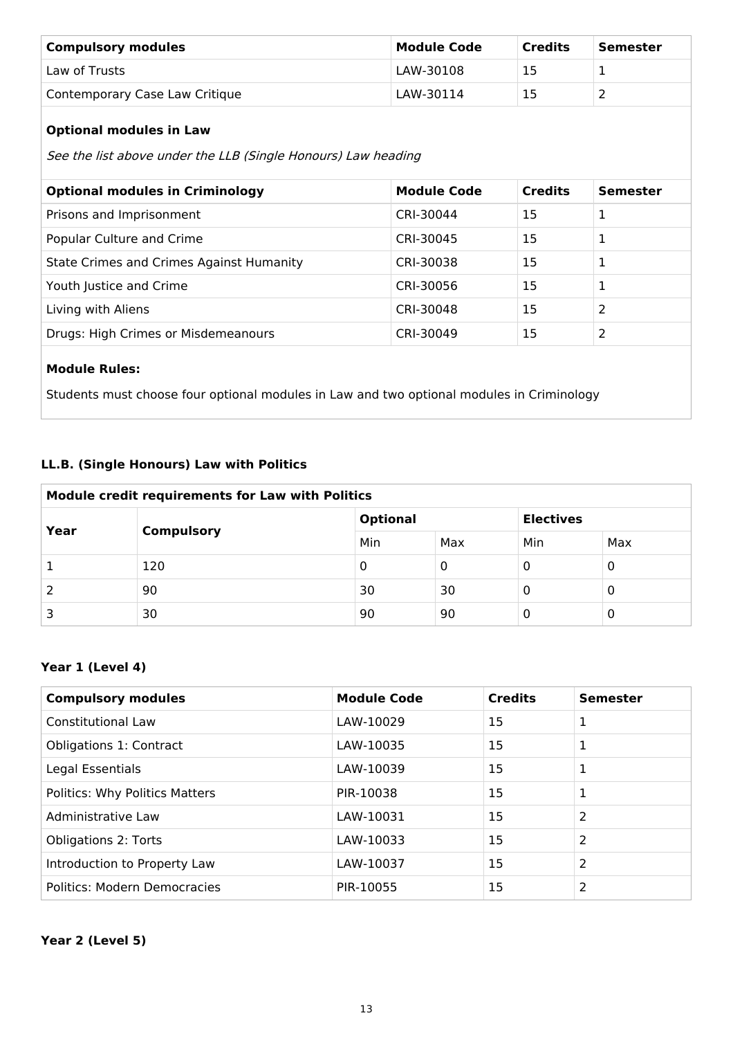| <b>Compulsory modules</b>      | <b>Module Code</b> | Credits | Semester |
|--------------------------------|--------------------|---------|----------|
| Law of Trusts                  | LAW-30108          | 15      |          |
| Contemporary Case Law Critique | LAW-30114          | 15      |          |

## **Optional modules in Law**

See the list above under the LLB (Single Honours) Law heading

| <b>Optional modules in Criminology</b>          | <b>Module Code</b> | <b>Credits</b> | <b>Semester</b> |
|-------------------------------------------------|--------------------|----------------|-----------------|
| Prisons and Imprisonment                        | CRI-30044          | 15             | 1               |
| Popular Culture and Crime                       | CRI-30045          | 15             | 1               |
| <b>State Crimes and Crimes Against Humanity</b> | CRI-30038          | 15             | 1               |
| Youth Justice and Crime                         | CRI-30056          | 15             | 1               |
| Living with Aliens                              | CRI-30048          | 15             | 2               |
| Drugs: High Crimes or Misdemeanours             | CRI-30049          | 15             | 2               |
|                                                 |                    |                |                 |
| <b>Add to A Line 1</b>                          |                    |                |                 |

#### **Module Rules:**

Students must choose four optional modules in Law and two optional modules in Criminology

#### **LL.B. (Single Honours) Law with Politics**

| Module credit requirements for Law with Politics |                                     |     |     |     |   |
|--------------------------------------------------|-------------------------------------|-----|-----|-----|---|
| Year<br><b>Compulsory</b>                        | <b>Electives</b><br><b>Optional</b> |     |     |     |   |
|                                                  | Min                                 | Max | Min | Max |   |
|                                                  | 120                                 | 0   | 0   | 0   | 0 |
|                                                  | 90                                  | 30  | 30  | 0   | O |
|                                                  | 30                                  | 90  | 90  |     | Ü |

## **Year 1 (Level 4)**

| <b>Compulsory modules</b>      | <b>Module Code</b> | <b>Credits</b> | <b>Semester</b> |
|--------------------------------|--------------------|----------------|-----------------|
| <b>Constitutional Law</b>      | LAW-10029          | 15             |                 |
| <b>Obligations 1: Contract</b> | LAW-10035          | 15             | 1               |
| Legal Essentials               | LAW-10039          | 15             | 1               |
| Politics: Why Politics Matters | PIR-10038          | 15             |                 |
| Administrative Law             | LAW-10031          | 15             | 2               |
| <b>Obligations 2: Torts</b>    | LAW-10033          | 15             | 2               |
| Introduction to Property Law   | LAW-10037          | 15             | 2               |
| Politics: Modern Democracies   | PIR-10055          | 15             | 2               |

#### **Year 2 (Level 5)**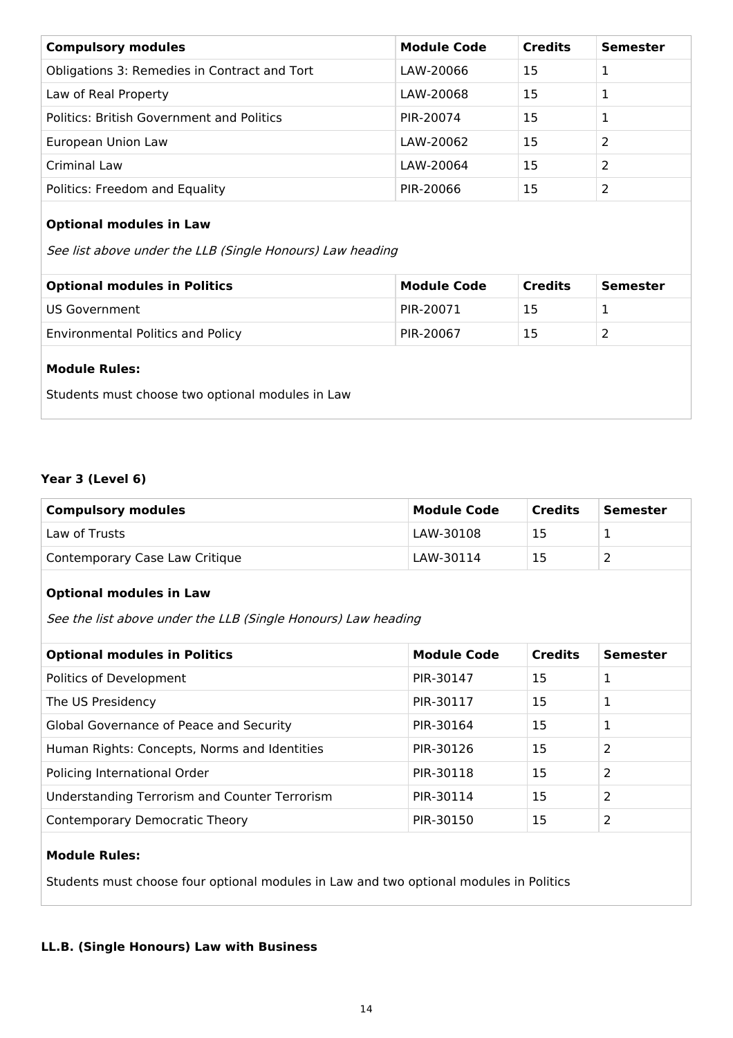| <b>Compulsory modules</b>                    | <b>Module Code</b> | <b>Credits</b> | <b>Semester</b> |
|----------------------------------------------|--------------------|----------------|-----------------|
| Obligations 3: Remedies in Contract and Tort | LAW-20066          | 15             |                 |
| Law of Real Property                         | LAW-20068          | 15             |                 |
| Politics: British Government and Politics    | PIR-20074          | 15             |                 |
| European Union Law                           | LAW-20062          | 15             | 2               |
| Criminal Law                                 | LAW-20064          | 15             | 2               |
| Politics: Freedom and Equality               | PIR-20066          | 15             |                 |

#### **Optional modules in Law**

See list above under the LLB (Single Honours) Law heading

| <b>Optional modules in Politics</b>      | <b>Module Code</b> | <b>Credits</b> | Semester |
|------------------------------------------|--------------------|----------------|----------|
| l US Government I                        | PIR-20071          | 15             |          |
| <b>Environmental Politics and Policy</b> | PIR-20067          | 15             |          |
|                                          |                    |                |          |

#### **Module Rules:**

Students must choose two optional modules in Law

## **Year 3 (Level 6)**

| <b>Compulsory modules</b>      | <b>Module Code</b> | <b>Credits</b> | Semester |
|--------------------------------|--------------------|----------------|----------|
| Law of Trusts                  | LAW-30108          | 15             |          |
| Contemporary Case Law Critique | LAW-30114          | 15             |          |

#### **Optional modules in Law**

See the list above under the LLB (Single Honours) Law heading

| <b>Optional modules in Politics</b>                  | <b>Module Code</b> | <b>Credits</b> | <b>Semester</b> |
|------------------------------------------------------|--------------------|----------------|-----------------|
| Politics of Development                              | PIR-30147          | 15             | L.              |
| The US Presidency                                    | PIR-30117          | 15             |                 |
| Global Governance of Peace and Security              | PIR-30164          | 15             |                 |
| Human Rights: Concepts, Norms and Identities         | PIR-30126          | 15             | 2               |
| Policing International Order                         | PIR-30118          | 15             | 2               |
| <b>Understanding Terrorism and Counter Terrorism</b> | PIR-30114          | 15             | 2               |
| Contemporary Democratic Theory                       | PIR-30150          | 15             | 2               |

#### **Module Rules:**

Students must choose four optional modules in Law and two optional modules in Politics

#### **LL.B. (Single Honours) Law with Business**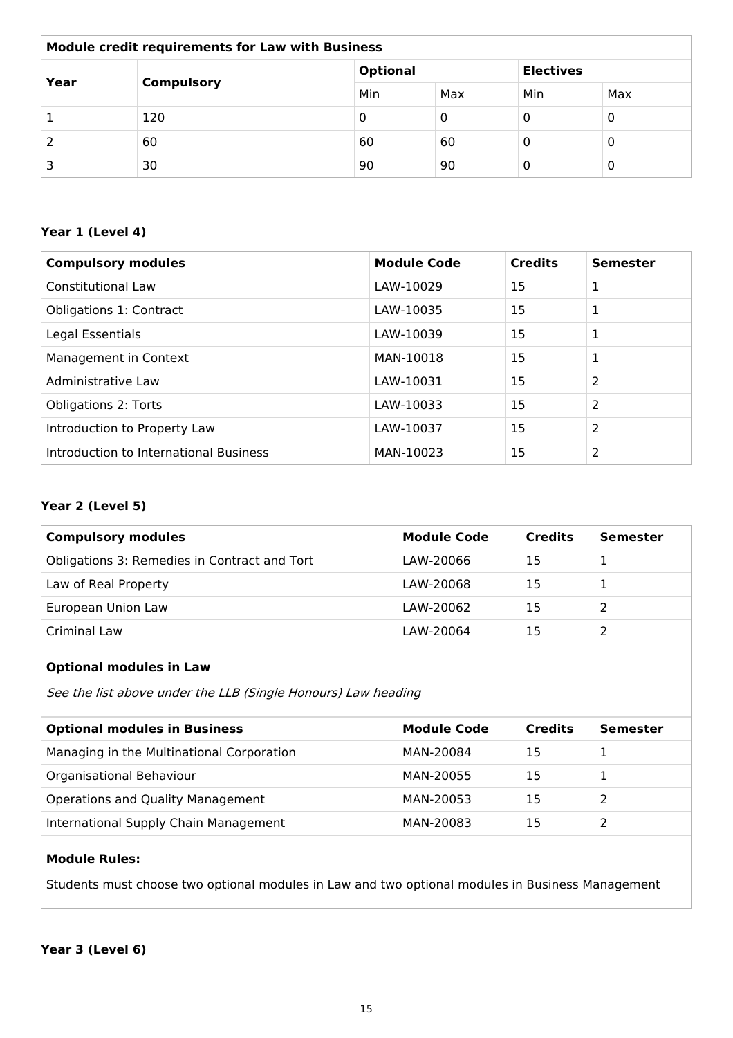| <b>Module credit requirements for Law with Business</b> |                   |                 |     |                  |     |
|---------------------------------------------------------|-------------------|-----------------|-----|------------------|-----|
| Year                                                    | <b>Compulsory</b> | <b>Optional</b> |     | <b>Electives</b> |     |
|                                                         |                   | Min             | Max | Min              | Max |
|                                                         | 120               | 0               | 0   | 0                | 0   |
|                                                         | 60                | 60              | 60  | 0                | 0   |
|                                                         | 30                | 90              | 90  | 0                | 0   |

#### **Year 1 (Level 4)**

| <b>Compulsory modules</b>              | <b>Module Code</b> | <b>Credits</b> | <b>Semester</b> |
|----------------------------------------|--------------------|----------------|-----------------|
| <b>Constitutional Law</b>              | LAW-10029          | 15             | 1               |
| Obligations 1: Contract                | LAW-10035          | 15             | 1               |
| Legal Essentials                       | LAW-10039          | 15             | 1               |
| Management in Context                  | MAN-10018          | 15             | 1               |
| Administrative Law                     | LAW-10031          | 15             | 2               |
| <b>Obligations 2: Torts</b>            | LAW-10033          | 15             | 2               |
| Introduction to Property Law           | LAW-10037          | 15             | 2               |
| Introduction to International Business | MAN-10023          | 15             | 2               |

#### **Year 2 (Level 5)**

| <b>Compulsory modules</b>                    | <b>Module Code</b> | <b>Credits</b> | <b>Semester</b> |
|----------------------------------------------|--------------------|----------------|-----------------|
| Obligations 3: Remedies in Contract and Tort | LAW-20066          | 15             |                 |
| Law of Real Property                         | LAW-20068          | 15             |                 |
| European Union Law                           | LAW-20062          | 15             |                 |
| Criminal Law                                 | LAW-20064          | 15             |                 |

## **Optional modules in Law**

See the list above under the LLB (Single Honours) Law heading

| <b>Optional modules in Business</b>       | <b>Module Code</b> | <b>Credits</b> | <b>Semester</b> |
|-------------------------------------------|--------------------|----------------|-----------------|
| Managing in the Multinational Corporation | MAN-20084          | 15             |                 |
| Organisational Behaviour                  | MAN-20055          | 15             |                 |
| Operations and Quality Management         | MAN-20053          | 15             |                 |
| International Supply Chain Management     | MAN-20083          | 15             |                 |

## **Module Rules:**

Students must choose two optional modules in Law and two optional modules in Business Management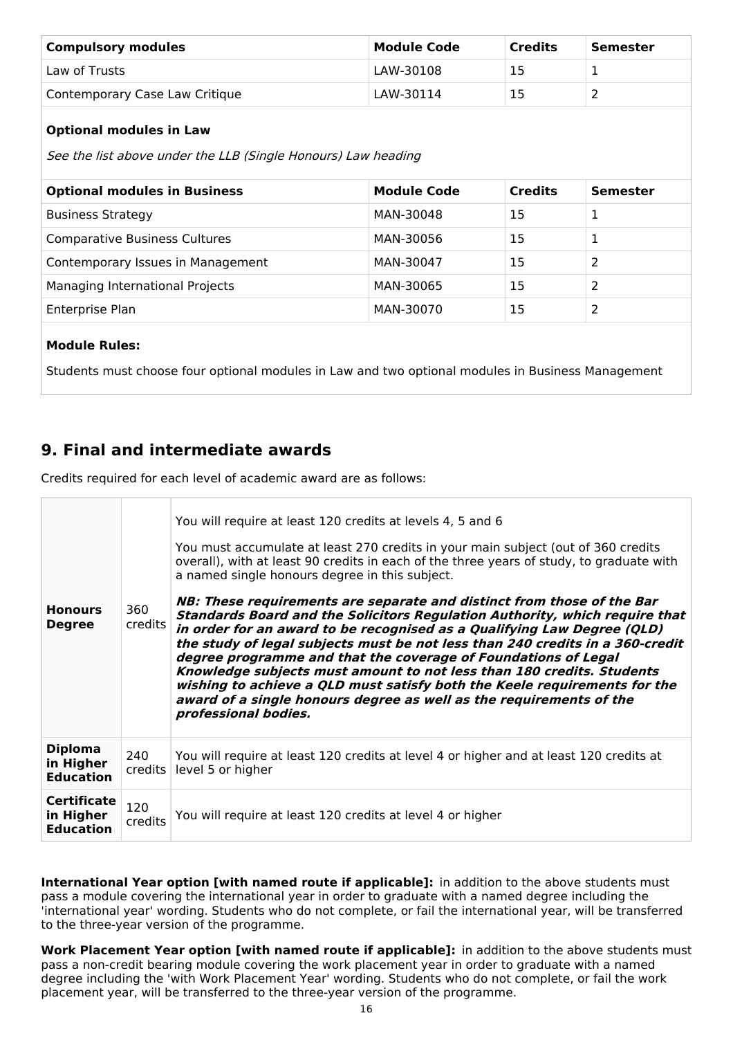| <b>Compulsory modules</b>      | Module Code | <b>Credits</b> | Semester |
|--------------------------------|-------------|----------------|----------|
| Law of Trusts                  | LAW-30108   |                |          |
| Contemporary Case Law Critique | LAW-30114   |                |          |

#### **Optional modules in Law**

See the list above under the LLB (Single Honours) Law heading

| <b>Optional modules in Business</b>  | <b>Module Code</b> | <b>Credits</b> | <b>Semester</b> |
|--------------------------------------|--------------------|----------------|-----------------|
| <b>Business Strategy</b>             | MAN-30048          | 15             | 1               |
| <b>Comparative Business Cultures</b> | MAN-30056          | 15             |                 |
| Contemporary Issues in Management    | MAN-30047          | 15             | 2               |
| Managing International Projects      | MAN-30065          | 15             | 2               |
| Enterprise Plan                      | MAN-30070          | 15             | 2               |

#### **Module Rules:**

Students must choose four optional modules in Law and two optional modules in Business Management

## **9. Final and intermediate awards**

Credits required for each level of academic award are as follows:

| <b>Honours</b><br><b>Degree</b>                     | 360<br>credits | You will require at least 120 credits at levels 4, 5 and 6<br>You must accumulate at least 270 credits in your main subject (out of 360 credits<br>overall), with at least 90 credits in each of the three years of study, to graduate with<br>a named single honours degree in this subject.<br>NB: These requirements are separate and distinct from those of the Bar<br><b>Standards Board and the Solicitors Regulation Authority, which require that</b><br>in order for an award to be recognised as a Qualifying Law Degree (QLD)<br>the study of legal subjects must be not less than 240 credits in a 360-credit<br>degree programme and that the coverage of Foundations of Legal<br>Knowledge subjects must amount to not less than 180 credits. Students<br>wishing to achieve a QLD must satisfy both the Keele requirements for the<br>award of a single honours degree as well as the requirements of the<br>professional bodies. |
|-----------------------------------------------------|----------------|--------------------------------------------------------------------------------------------------------------------------------------------------------------------------------------------------------------------------------------------------------------------------------------------------------------------------------------------------------------------------------------------------------------------------------------------------------------------------------------------------------------------------------------------------------------------------------------------------------------------------------------------------------------------------------------------------------------------------------------------------------------------------------------------------------------------------------------------------------------------------------------------------------------------------------------------------|
| <b>Diploma</b><br>in Higher<br><b>Education</b>     | 240<br>credits | You will require at least 120 credits at level 4 or higher and at least 120 credits at<br>level 5 or higher                                                                                                                                                                                                                                                                                                                                                                                                                                                                                                                                                                                                                                                                                                                                                                                                                                      |
| <b>Certificate</b><br>in Higher<br><b>Education</b> | 120<br>credits | You will require at least 120 credits at level 4 or higher                                                                                                                                                                                                                                                                                                                                                                                                                                                                                                                                                                                                                                                                                                                                                                                                                                                                                       |

**International Year option [with named route if applicable]:** in addition to the above students must pass a module covering the international year in order to graduate with a named degree including the 'international year' wording. Students who do not complete, or fail the international year, will be transferred to the three-year version of the programme.

**Work Placement Year option [with named route if applicable]:** in addition to the above students must pass a non-credit bearing module covering the work placement year in order to graduate with a named degree including the 'with Work Placement Year' wording. Students who do not complete, or fail the work placement year, will be transferred to the three-year version of the programme.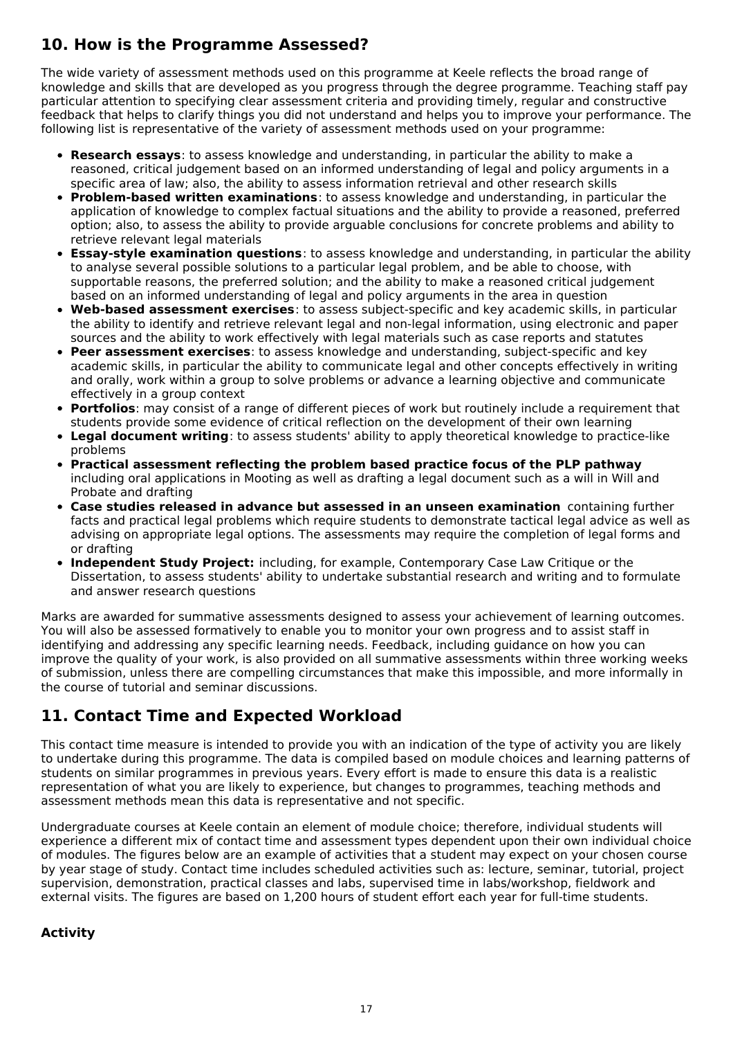# **10. How is the Programme Assessed?**

The wide variety of assessment methods used on this programme at Keele reflects the broad range of knowledge and skills that are developed as you progress through the degree programme. Teaching staff pay particular attention to specifying clear assessment criteria and providing timely, regular and constructive feedback that helps to clarify things you did not understand and helps you to improve your performance. The following list is representative of the variety of assessment methods used on your programme:

- **Research essays**: to assess knowledge and understanding, in particular the ability to make a reasoned, critical judgement based on an informed understanding of legal and policy arguments in a specific area of law; also, the ability to assess information retrieval and other research skills
- **Problem-based written examinations**: to assess knowledge and understanding, in particular the application of knowledge to complex factual situations and the ability to provide a reasoned, preferred option; also, to assess the ability to provide arguable conclusions for concrete problems and ability to retrieve relevant legal materials
- **Essay-style examination questions**: to assess knowledge and understanding, in particular the ability to analyse several possible solutions to a particular legal problem, and be able to choose, with supportable reasons, the preferred solution; and the ability to make a reasoned critical judgement based on an informed understanding of legal and policy arguments in the area in question
- **Web-based assessment exercises**: to assess subject-specific and key academic skills, in particular the ability to identify and retrieve relevant legal and non-legal information, using electronic and paper sources and the ability to work effectively with legal materials such as case reports and statutes
- **Peer assessment exercises**: to assess knowledge and understanding, subject-specific and key academic skills, in particular the ability to communicate legal and other concepts effectively in writing and orally, work within a group to solve problems or advance a learning objective and communicate effectively in a group context
- **Portfolios**: may consist of a range of different pieces of work but routinely include a requirement that students provide some evidence of critical reflection on the development of their own learning
- **Legal document writing**: to assess students' ability to apply theoretical knowledge to practice-like problems
- **Practical assessment reflecting the problem based practice focus of the PLP pathway** including oral applications in Mooting as well as drafting a legal document such as a will in Will and Probate and drafting
- **Case studies released in advance but assessed in an unseen examination** containing further facts and practical legal problems which require students to demonstrate tactical legal advice as well as advising on appropriate legal options. The assessments may require the completion of legal forms and or drafting
- **Independent Study Project:** including, for example, Contemporary Case Law Critique or the Dissertation, to assess students' ability to undertake substantial research and writing and to formulate and answer research questions

Marks are awarded for summative assessments designed to assess your achievement of learning outcomes. You will also be assessed formatively to enable you to monitor your own progress and to assist staff in identifying and addressing any specific learning needs. Feedback, including guidance on how you can improve the quality of your work, is also provided on all summative assessments within three working weeks of submission, unless there are compelling circumstances that make this impossible, and more informally in the course of tutorial and seminar discussions.

# **11. Contact Time and Expected Workload**

This contact time measure is intended to provide you with an indication of the type of activity you are likely to undertake during this programme. The data is compiled based on module choices and learning patterns of students on similar programmes in previous years. Every effort is made to ensure this data is a realistic representation of what you are likely to experience, but changes to programmes, teaching methods and assessment methods mean this data is representative and not specific.

Undergraduate courses at Keele contain an element of module choice; therefore, individual students will experience a different mix of contact time and assessment types dependent upon their own individual choice of modules. The figures below are an example of activities that a student may expect on your chosen course by year stage of study. Contact time includes scheduled activities such as: lecture, seminar, tutorial, project supervision, demonstration, practical classes and labs, supervised time in labs/workshop, fieldwork and external visits. The figures are based on 1,200 hours of student effort each year for full-time students.

## **Activity**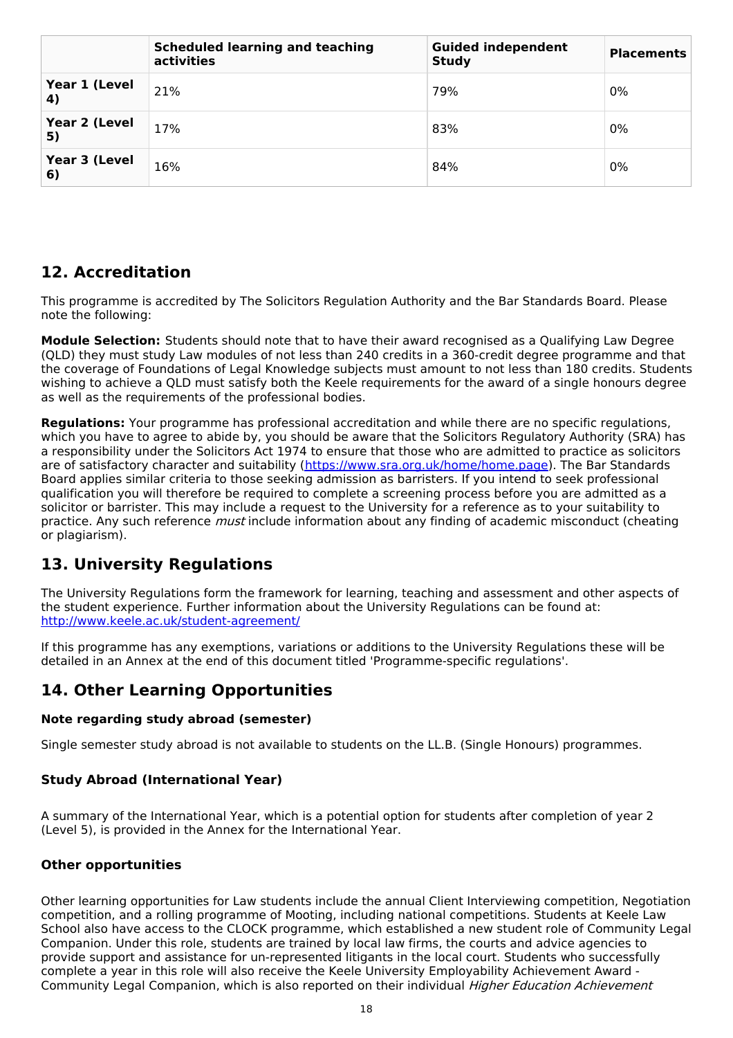|                     | <b>Scheduled learning and teaching</b><br>activities | <b>Guided independent</b><br><b>Study</b> | <b>Placements</b> |
|---------------------|------------------------------------------------------|-------------------------------------------|-------------------|
| Year 1 (Level<br>4) | 21%                                                  | 79%                                       | 0%                |
| Year 2 (Level<br>5) | 17%                                                  | 83%                                       | $0\%$             |
| Year 3 (Level<br>6) | 16%                                                  | 84%                                       | 0%                |

## **12. Accreditation**

This programme is accredited by The Solicitors Regulation Authority and the Bar Standards Board. Please note the following:

**Module Selection:** Students should note that to have their award recognised as a Qualifying Law Degree (QLD) they must study Law modules of not less than 240 credits in a 360-credit degree programme and that the coverage of Foundations of Legal Knowledge subjects must amount to not less than 180 credits. Students wishing to achieve a QLD must satisfy both the Keele requirements for the award of a single honours degree as well as the requirements of the professional bodies.

**Regulations:** Your programme has professional accreditation and while there are no specific regulations, which you have to agree to abide by, you should be aware that the Solicitors Regulatory Authority (SRA) has a responsibility under the Solicitors Act 1974 to ensure that those who are admitted to practice as solicitors are of satisfactory character and suitability (<https://www.sra.org.uk/home/home.page>). The Bar Standards Board applies similar criteria to those seeking admission as barristers. If you intend to seek professional qualification you will therefore be required to complete a screening process before you are admitted as a solicitor or barrister. This may include a request to the University for a reference as to your suitability to practice. Any such reference *must* include information about any finding of academic misconduct (cheating or plagiarism).

# **13. University Regulations**

The University Regulations form the framework for learning, teaching and assessment and other aspects of the student experience. Further information about the University Regulations can be found at: <http://www.keele.ac.uk/student-agreement/>

If this programme has any exemptions, variations or additions to the University Regulations these will be detailed in an Annex at the end of this document titled 'Programme-specific regulations'.

## **14. Other Learning Opportunities**

#### **Note regarding study abroad (semester)**

Single semester study abroad is not available to students on the LL.B. (Single Honours) programmes.

#### **Study Abroad (International Year)**

A summary of the International Year, which is a potential option for students after completion of year 2 (Level 5), is provided in the Annex for the International Year.

#### **Other opportunities**

Other learning opportunities for Law students include the annual Client Interviewing competition, Negotiation competition, and a rolling programme of Mooting, including national competitions. Students at Keele Law School also have access to the CLOCK programme, which established a new student role of Community Legal Companion. Under this role, students are trained by local law firms, the courts and advice agencies to provide support and assistance for un-represented litigants in the local court. Students who successfully complete a year in this role will also receive the Keele University Employability Achievement Award - Community Legal Companion, which is also reported on their individual Higher Education Achievement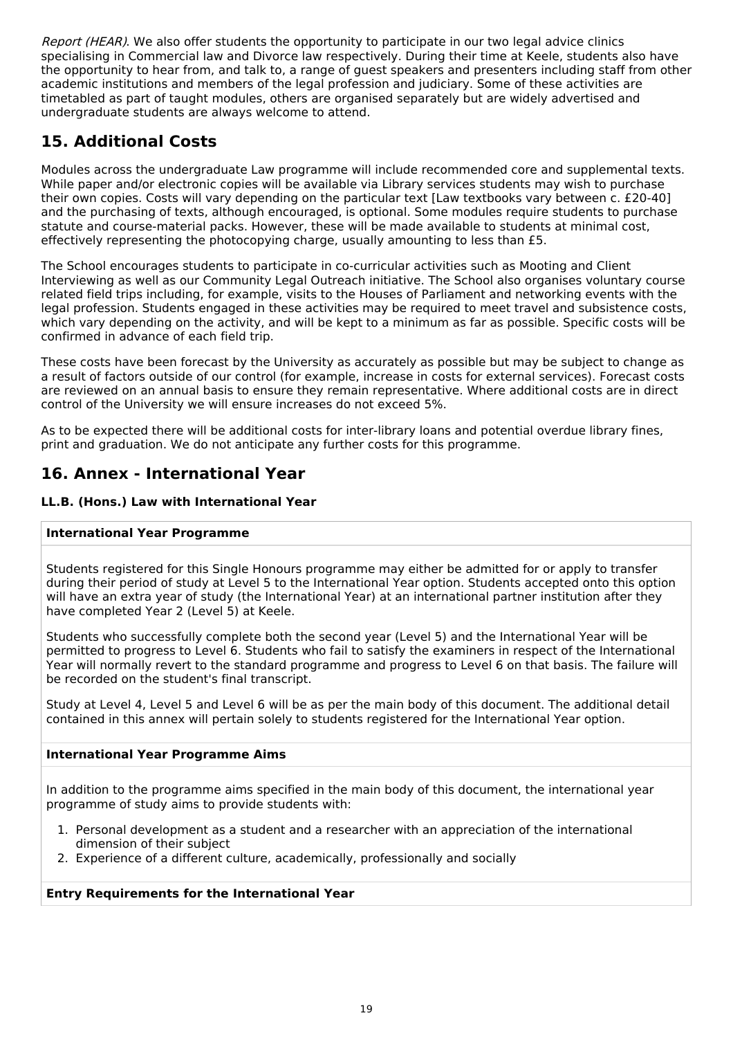Report (HEAR). We also offer students the opportunity to participate in our two legal advice clinics specialising in Commercial law and Divorce law respectively. During their time at Keele, students also have the opportunity to hear from, and talk to, a range of guest speakers and presenters including staff from other academic institutions and members of the legal profession and judiciary. Some of these activities are timetabled as part of taught modules, others are organised separately but are widely advertised and undergraduate students are always welcome to attend.

# **15. Additional Costs**

Modules across the undergraduate Law programme will include recommended core and supplemental texts. While paper and/or electronic copies will be available via Library services students may wish to purchase their own copies. Costs will vary depending on the particular text [Law textbooks vary between c. £20-40] and the purchasing of texts, although encouraged, is optional. Some modules require students to purchase statute and course-material packs. However, these will be made available to students at minimal cost, effectively representing the photocopying charge, usually amounting to less than £5.

The School encourages students to participate in co-curricular activities such as Mooting and Client Interviewing as well as our Community Legal Outreach initiative. The School also organises voluntary course related field trips including, for example, visits to the Houses of Parliament and networking events with the legal profession. Students engaged in these activities may be required to meet travel and subsistence costs, which vary depending on the activity, and will be kept to a minimum as far as possible. Specific costs will be confirmed in advance of each field trip.

These costs have been forecast by the University as accurately as possible but may be subject to change as a result of factors outside of our control (for example, increase in costs for external services). Forecast costs are reviewed on an annual basis to ensure they remain representative. Where additional costs are in direct control of the University we will ensure increases do not exceed 5%.

As to be expected there will be additional costs for inter-library loans and potential overdue library fines, print and graduation. We do not anticipate any further costs for this programme.

## **16. Annex - International Year**

#### **LL.B. (Hons.) Law with International Year**

#### **International Year Programme**

Students registered for this Single Honours programme may either be admitted for or apply to transfer during their period of study at Level 5 to the International Year option. Students accepted onto this option will have an extra year of study (the International Year) at an international partner institution after they have completed Year 2 (Level 5) at Keele.

Students who successfully complete both the second year (Level 5) and the International Year will be permitted to progress to Level 6. Students who fail to satisfy the examiners in respect of the International Year will normally revert to the standard programme and progress to Level 6 on that basis. The failure will be recorded on the student's final transcript.

Study at Level 4, Level 5 and Level 6 will be as per the main body of this document. The additional detail contained in this annex will pertain solely to students registered for the International Year option.

#### **International Year Programme Aims**

In addition to the programme aims specified in the main body of this document, the international year programme of study aims to provide students with:

- 1. Personal development as a student and a researcher with an appreciation of the international dimension of their subject
- 2. Experience of a different culture, academically, professionally and socially

#### **Entry Requirements for the International Year**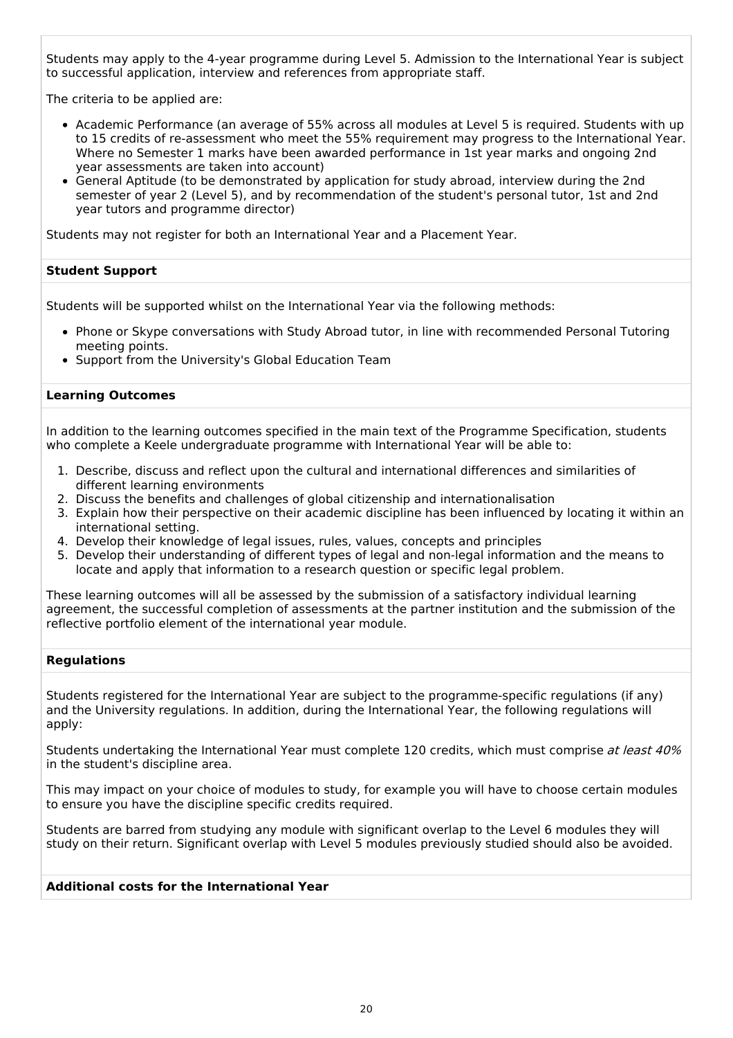Students may apply to the 4-year programme during Level 5. Admission to the International Year is subject to successful application, interview and references from appropriate staff.

The criteria to be applied are:

- Academic Performance (an average of 55% across all modules at Level 5 is required. Students with up to 15 credits of re-assessment who meet the 55% requirement may progress to the International Year. Where no Semester 1 marks have been awarded performance in 1st year marks and ongoing 2nd year assessments are taken into account)
- General Aptitude (to be demonstrated by application for study abroad, interview during the 2nd semester of year 2 (Level 5), and by recommendation of the student's personal tutor, 1st and 2nd year tutors and programme director)

Students may not register for both an International Year and a Placement Year.

#### **Student Support**

Students will be supported whilst on the International Year via the following methods:

- Phone or Skype conversations with Study Abroad tutor, in line with recommended Personal Tutoring meeting points.
- Support from the University's Global Education Team

#### **Learning Outcomes**

In addition to the learning outcomes specified in the main text of the Programme Specification, students who complete a Keele undergraduate programme with International Year will be able to:

- 1. Describe, discuss and reflect upon the cultural and international differences and similarities of different learning environments
- 2. Discuss the benefits and challenges of global citizenship and internationalisation
- 3. Explain how their perspective on their academic discipline has been influenced by locating it within an international setting.
- 4. Develop their knowledge of legal issues, rules, values, concepts and principles
- 5. Develop their understanding of different types of legal and non-legal information and the means to locate and apply that information to a research question or specific legal problem.

These learning outcomes will all be assessed by the submission of a satisfactory individual learning agreement, the successful completion of assessments at the partner institution and the submission of the reflective portfolio element of the international year module.

#### **Regulations**

Students registered for the International Year are subject to the programme-specific regulations (if any) and the University regulations. In addition, during the International Year, the following regulations will apply:

Students undertaking the International Year must complete 120 credits, which must comprise at least 40% in the student's discipline area.

This may impact on your choice of modules to study, for example you will have to choose certain modules to ensure you have the discipline specific credits required.

Students are barred from studying any module with significant overlap to the Level 6 modules they will study on their return. Significant overlap with Level 5 modules previously studied should also be avoided.

#### **Additional costs for the International Year**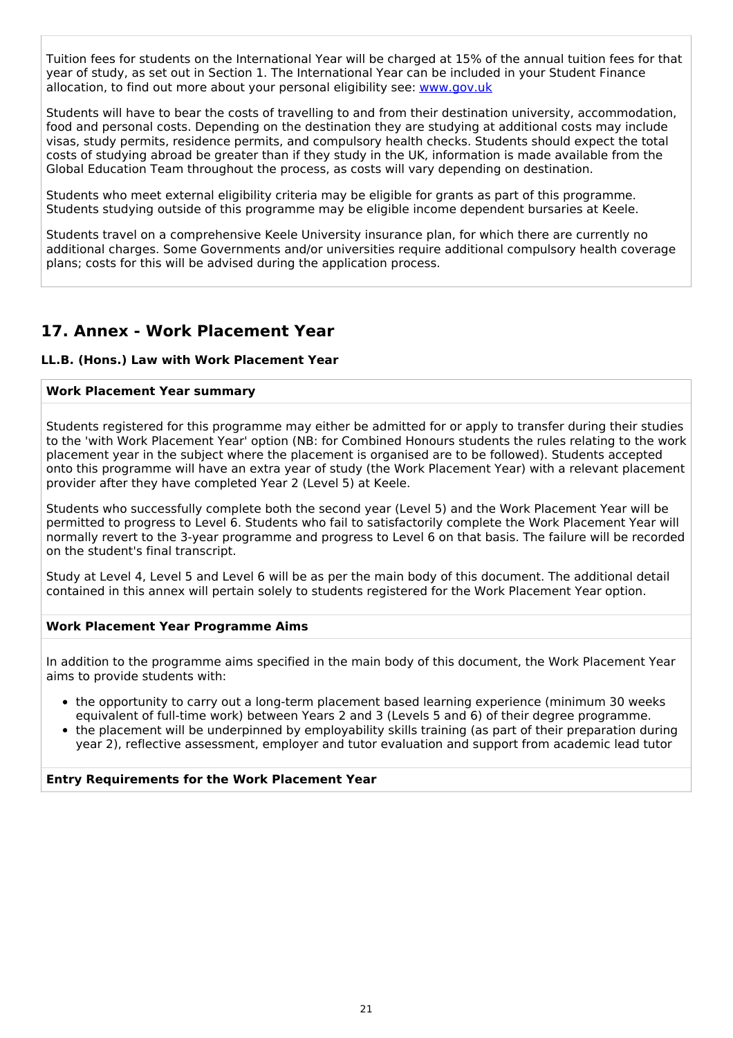Tuition fees for students on the International Year will be charged at 15% of the annual tuition fees for that year of study, as set out in Section 1. The International Year can be included in your Student Finance allocation, to find out more about your personal eligibility see: [www.gov.uk](http://www.gov.uk/)

Students will have to bear the costs of travelling to and from their destination university, accommodation, food and personal costs. Depending on the destination they are studying at additional costs may include visas, study permits, residence permits, and compulsory health checks. Students should expect the total costs of studying abroad be greater than if they study in the UK, information is made available from the Global Education Team throughout the process, as costs will vary depending on destination.

Students who meet external eligibility criteria may be eligible for grants as part of this programme. Students studying outside of this programme may be eligible income dependent bursaries at Keele.

Students travel on a comprehensive Keele University insurance plan, for which there are currently no additional charges. Some Governments and/or universities require additional compulsory health coverage plans; costs for this will be advised during the application process.

## **17. Annex - Work Placement Year**

#### **LL.B. (Hons.) Law with Work Placement Year**

#### **Work Placement Year summary**

Students registered for this programme may either be admitted for or apply to transfer during their studies to the 'with Work Placement Year' option (NB: for Combined Honours students the rules relating to the work placement year in the subject where the placement is organised are to be followed). Students accepted onto this programme will have an extra year of study (the Work Placement Year) with a relevant placement provider after they have completed Year 2 (Level 5) at Keele.

Students who successfully complete both the second year (Level 5) and the Work Placement Year will be permitted to progress to Level 6. Students who fail to satisfactorily complete the Work Placement Year will normally revert to the 3-year programme and progress to Level 6 on that basis. The failure will be recorded on the student's final transcript.

Study at Level 4, Level 5 and Level 6 will be as per the main body of this document. The additional detail contained in this annex will pertain solely to students registered for the Work Placement Year option.

#### **Work Placement Year Programme Aims**

In addition to the programme aims specified in the main body of this document, the Work Placement Year aims to provide students with:

- the opportunity to carry out a long-term placement based learning experience (minimum 30 weeks equivalent of full-time work) between Years 2 and 3 (Levels 5 and 6) of their degree programme.
- the placement will be underpinned by employability skills training (as part of their preparation during year 2), reflective assessment, employer and tutor evaluation and support from academic lead tutor

#### **Entry Requirements for the Work Placement Year**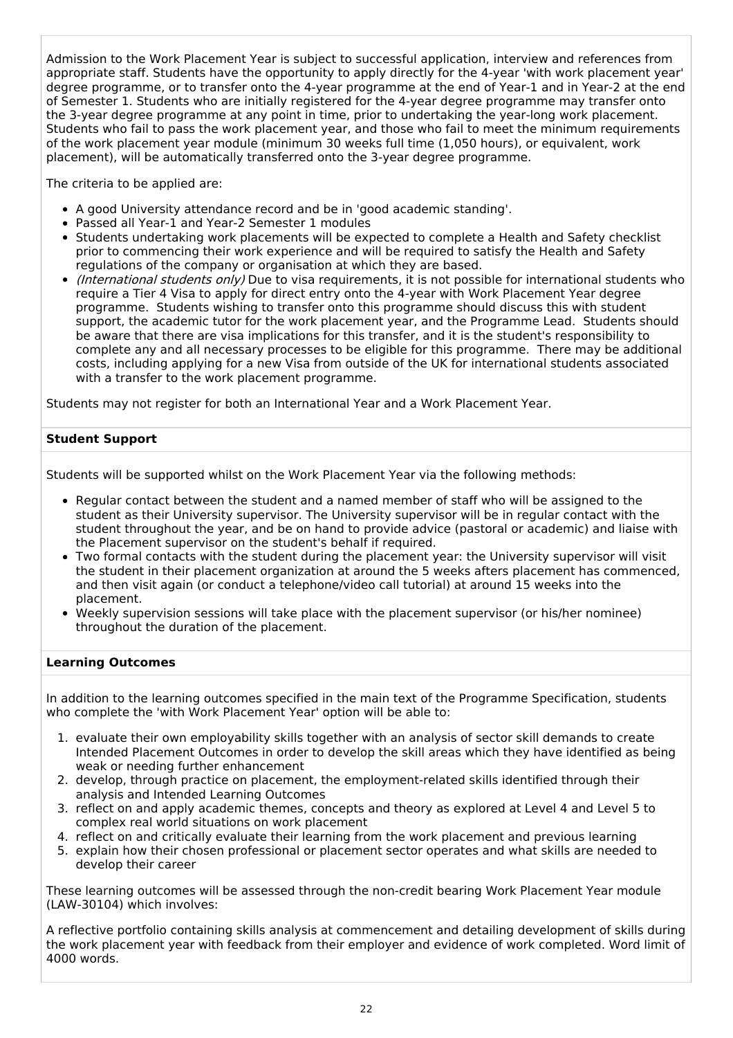Admission to the Work Placement Year is subject to successful application, interview and references from appropriate staff. Students have the opportunity to apply directly for the 4-year 'with work placement year' degree programme, or to transfer onto the 4-year programme at the end of Year-1 and in Year-2 at the end of Semester 1. Students who are initially registered for the 4-year degree programme may transfer onto the 3-year degree programme at any point in time, prior to undertaking the year-long work placement. Students who fail to pass the work placement year, and those who fail to meet the minimum requirements of the work placement year module (minimum 30 weeks full time (1,050 hours), or equivalent, work placement), will be automatically transferred onto the 3-year degree programme.

The criteria to be applied are:

- A good University attendance record and be in 'good academic standing'.
- Passed all Year-1 and Year-2 Semester 1 modules
- Students undertaking work placements will be expected to complete a Health and Safety checklist prior to commencing their work experience and will be required to satisfy the Health and Safety regulations of the company or organisation at which they are based.
- (International students only) Due to visa requirements, it is not possible for international students who require a Tier 4 Visa to apply for direct entry onto the 4-year with Work Placement Year degree programme. Students wishing to transfer onto this programme should discuss this with student support, the academic tutor for the work placement year, and the Programme Lead. Students should be aware that there are visa implications for this transfer, and it is the student's responsibility to complete any and all necessary processes to be eligible for this programme. There may be additional costs, including applying for a new Visa from outside of the UK for international students associated with a transfer to the work placement programme.

Students may not register for both an International Year and a Work Placement Year.

#### **Student Support**

Students will be supported whilst on the Work Placement Year via the following methods:

- Regular contact between the student and a named member of staff who will be assigned to the student as their University supervisor. The University supervisor will be in regular contact with the student throughout the year, and be on hand to provide advice (pastoral or academic) and liaise with the Placement supervisor on the student's behalf if required.
- Two formal contacts with the student during the placement year: the University supervisor will visit the student in their placement organization at around the 5 weeks afters placement has commenced, and then visit again (or conduct a telephone/video call tutorial) at around 15 weeks into the placement.
- Weekly supervision sessions will take place with the placement supervisor (or his/her nominee) throughout the duration of the placement.

#### **Learning Outcomes**

In addition to the learning outcomes specified in the main text of the Programme Specification, students who complete the 'with Work Placement Year' option will be able to:

- 1. evaluate their own employability skills together with an analysis of sector skill demands to create Intended Placement Outcomes in order to develop the skill areas which they have identified as being weak or needing further enhancement
- 2. develop, through practice on placement, the employment-related skills identified through their analysis and Intended Learning Outcomes
- 3. reflect on and apply academic themes, concepts and theory as explored at Level 4 and Level 5 to complex real world situations on work placement
- 4. reflect on and critically evaluate their learning from the work placement and previous learning
- 5. explain how their chosen professional or placement sector operates and what skills are needed to develop their career

These learning outcomes will be assessed through the non-credit bearing Work Placement Year module (LAW-30104) which involves:

A reflective portfolio containing skills analysis at commencement and detailing development of skills during the work placement year with feedback from their employer and evidence of work completed. Word limit of 4000 words.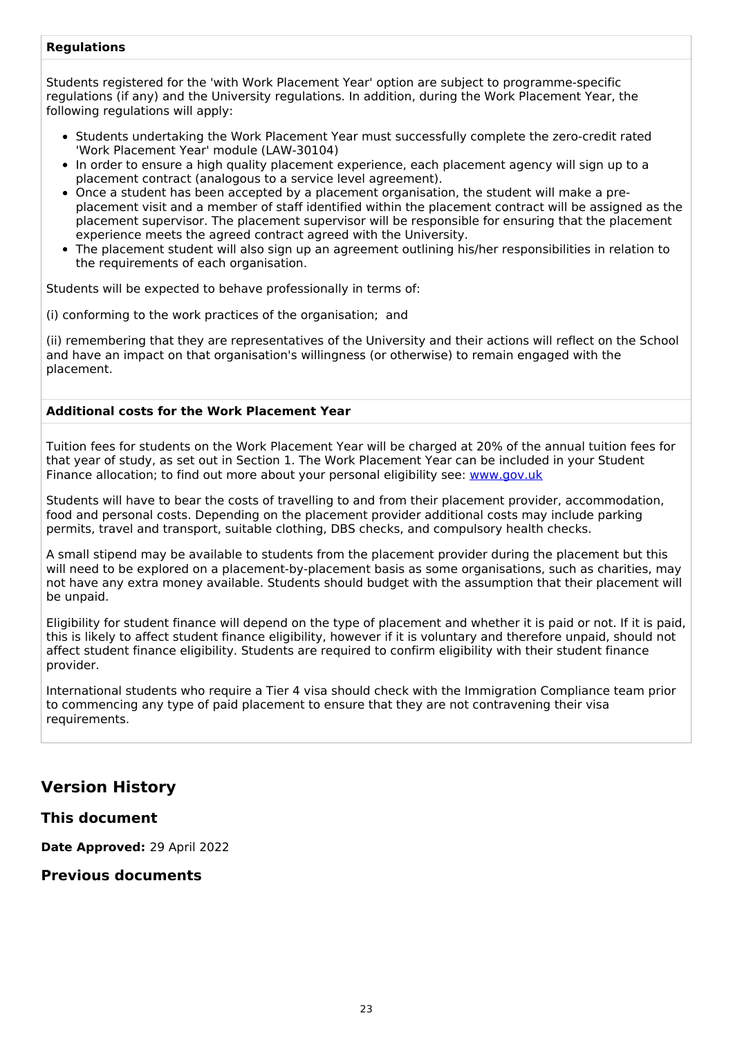#### **Regulations**

Students registered for the 'with Work Placement Year' option are subject to programme-specific regulations (if any) and the University regulations. In addition, during the Work Placement Year, the following regulations will apply:

- Students undertaking the Work Placement Year must successfully complete the zero-credit rated 'Work Placement Year' module (LAW-30104)
- In order to ensure a high quality placement experience, each placement agency will sign up to a placement contract (analogous to a service level agreement).
- Once a student has been accepted by a placement organisation, the student will make a preplacement visit and a member of staff identified within the placement contract will be assigned as the placement supervisor. The placement supervisor will be responsible for ensuring that the placement experience meets the agreed contract agreed with the University.
- The placement student will also sign up an agreement outlining his/her responsibilities in relation to the requirements of each organisation.

Students will be expected to behave professionally in terms of:

(i) conforming to the work practices of the organisation; and

(ii) remembering that they are representatives of the University and their actions will reflect on the School and have an impact on that organisation's willingness (or otherwise) to remain engaged with the placement.

#### **Additional costs for the Work Placement Year**

Tuition fees for students on the Work Placement Year will be charged at 20% of the annual tuition fees for that year of study, as set out in Section 1. The Work Placement Year can be included in your Student Finance allocation; to find out more about your personal eligibility see: [www.gov.uk](http://www.gov.uk/)

Students will have to bear the costs of travelling to and from their placement provider, accommodation, food and personal costs. Depending on the placement provider additional costs may include parking permits, travel and transport, suitable clothing, DBS checks, and compulsory health checks.

A small stipend may be available to students from the placement provider during the placement but this will need to be explored on a placement-by-placement basis as some organisations, such as charities, may not have any extra money available. Students should budget with the assumption that their placement will be unpaid.

Eligibility for student finance will depend on the type of placement and whether it is paid or not. If it is paid, this is likely to affect student finance eligibility, however if it is voluntary and therefore unpaid, should not affect student finance eligibility. Students are required to confirm eligibility with their student finance provider.

International students who require a Tier 4 visa should check with the Immigration Compliance team prior to commencing any type of paid placement to ensure that they are not contravening their visa requirements.

## **Version History**

#### **This document**

**Date Approved:** 29 April 2022

#### **Previous documents**